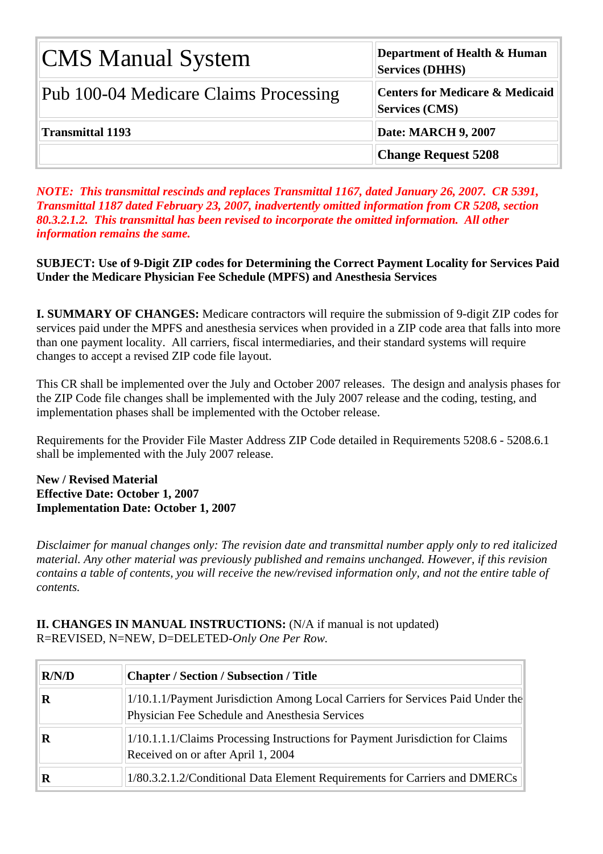| <b>CMS Manual System</b>              | Department of Health & Human<br><b>Services (DHHS)</b>              |
|---------------------------------------|---------------------------------------------------------------------|
| Pub 100-04 Medicare Claims Processing | <b>Centers for Medicare &amp; Medicaid</b><br><b>Services (CMS)</b> |
| <b>Transmittal 1193</b>               | <b>Date: MARCH 9, 2007</b>                                          |
|                                       | <b>Change Request 5208</b>                                          |

*NOTE: This transmittal rescinds and replaces Transmittal 1167, dated January 26, 2007. CR 5391, Transmittal 1187 dated February 23, 2007, inadvertently omitted information from CR 5208, section 80.3.2.1.2. This transmittal has been revised to incorporate the omitted information. All other information remains the same.* 

**SUBJECT: Use of 9-Digit ZIP codes for Determining the Correct Payment Locality for Services Paid Under the Medicare Physician Fee Schedule (MPFS) and Anesthesia Services**

**I. SUMMARY OF CHANGES:** Medicare contractors will require the submission of 9-digit ZIP codes for services paid under the MPFS and anesthesia services when provided in a ZIP code area that falls into more than one payment locality. All carriers, fiscal intermediaries, and their standard systems will require changes to accept a revised ZIP code file layout.

This CR shall be implemented over the July and October 2007 releases. The design and analysis phases for the ZIP Code file changes shall be implemented with the July 2007 release and the coding, testing, and implementation phases shall be implemented with the October release.

Requirements for the Provider File Master Address ZIP Code detailed in Requirements 5208.6 - 5208.6.1 shall be implemented with the July 2007 release.

**New / Revised Material Effective Date: October 1, 2007 Implementation Date: October 1, 2007** 

*Disclaimer for manual changes only: The revision date and transmittal number apply only to red italicized material. Any other material was previously published and remains unchanged. However, if this revision contains a table of contents, you will receive the new/revised information only, and not the entire table of contents.*

**II. CHANGES IN MANUAL INSTRUCTIONS:** (N/A if manual is not updated) R=REVISED, N=NEW, D=DELETED-*Only One Per Row.* 

| R/N/D | <b>Chapter / Section / Subsection / Title</b>                                                                                    |
|-------|----------------------------------------------------------------------------------------------------------------------------------|
| R     | 1/10.1.1/Payment Jurisdiction Among Local Carriers for Services Paid Under the<br>Physician Fee Schedule and Anesthesia Services |
|       | 1/10.1.1.1/Claims Processing Instructions for Payment Jurisdiction for Claims<br>Received on or after April 1, 2004              |
|       | 1/80.3.2.1.2/Conditional Data Element Requirements for Carriers and DMERCs                                                       |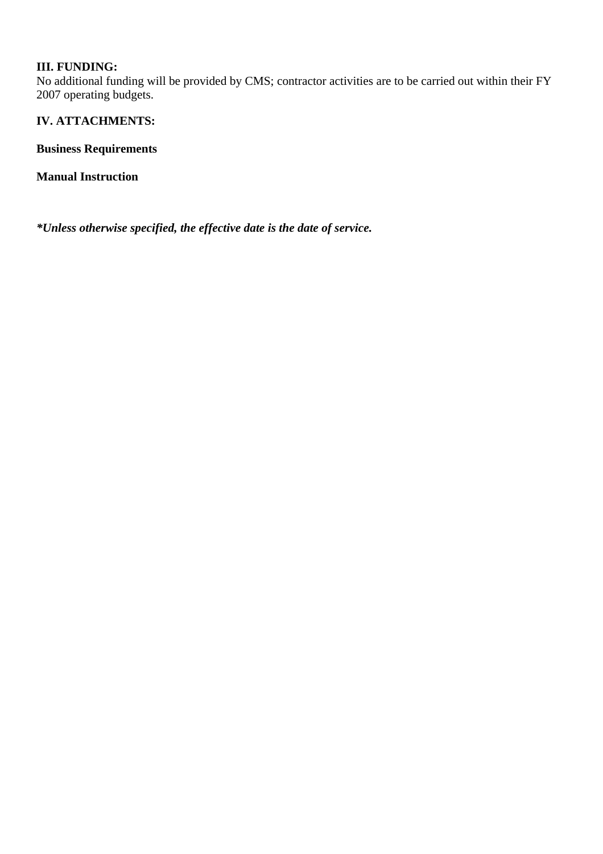#### **III. FUNDING:**

No additional funding will be provided by CMS; contractor activities are to be carried out within their FY 2007 operating budgets.

#### **IV. ATTACHMENTS:**

**Business Requirements**

**Manual Instruction**

*\*Unless otherwise specified, the effective date is the date of service.*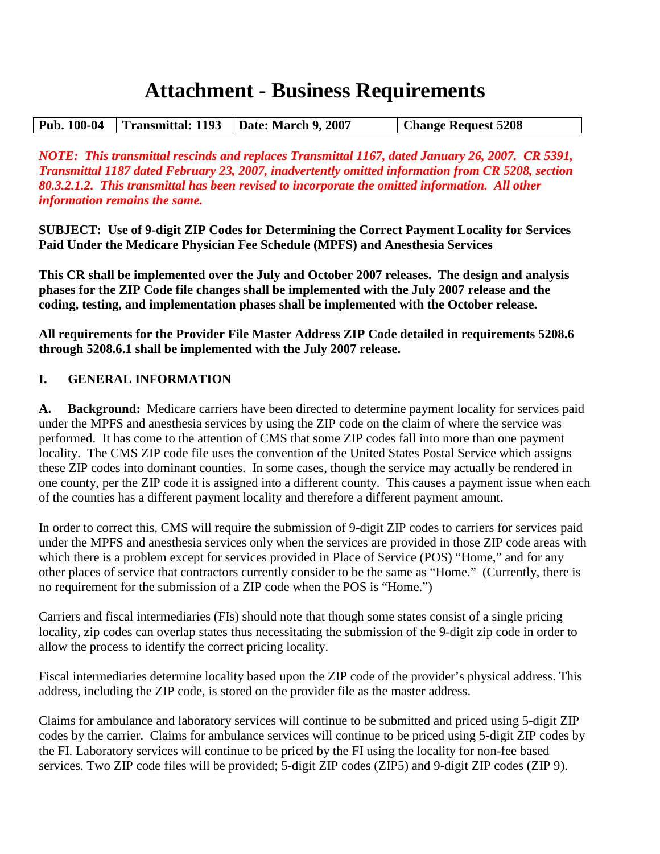# **Attachment - Business Requirements**

|  | Pub. 100-04   Transmittal: 1193   Date: March 9, 2007 | <b>Change Request 5208</b> |
|--|-------------------------------------------------------|----------------------------|

*NOTE: This transmittal rescinds and replaces Transmittal 1167, dated January 26, 2007. CR 5391, Transmittal 1187 dated February 23, 2007, inadvertently omitted information from CR 5208, section 80.3.2.1.2. This transmittal has been revised to incorporate the omitted information. All other information remains the same.*

**SUBJECT: Use of 9-digit ZIP Codes for Determining the Correct Payment Locality for Services Paid Under the Medicare Physician Fee Schedule (MPFS) and Anesthesia Services**

**This CR shall be implemented over the July and October 2007 releases. The design and analysis phases for the ZIP Code file changes shall be implemented with the July 2007 release and the coding, testing, and implementation phases shall be implemented with the October release.**

**All requirements for the Provider File Master Address ZIP Code detailed in requirements 5208.6 through 5208.6.1 shall be implemented with the July 2007 release.** 

#### **I. GENERAL INFORMATION**

**A. Background:** Medicare carriers have been directed to determine payment locality for services paid under the MPFS and anesthesia services by using the ZIP code on the claim of where the service was performed. It has come to the attention of CMS that some ZIP codes fall into more than one payment locality. The CMS ZIP code file uses the convention of the United States Postal Service which assigns these ZIP codes into dominant counties. In some cases, though the service may actually be rendered in one county, per the ZIP code it is assigned into a different county. This causes a payment issue when each of the counties has a different payment locality and therefore a different payment amount.

In order to correct this, CMS will require the submission of 9-digit ZIP codes to carriers for services paid under the MPFS and anesthesia services only when the services are provided in those ZIP code areas with which there is a problem except for services provided in Place of Service (POS) "Home," and for any other places of service that contractors currently consider to be the same as "Home." (Currently, there is no requirement for the submission of a ZIP code when the POS is "Home.")

Carriers and fiscal intermediaries (FIs) should note that though some states consist of a single pricing locality, zip codes can overlap states thus necessitating the submission of the 9-digit zip code in order to allow the process to identify the correct pricing locality.

Fiscal intermediaries determine locality based upon the ZIP code of the provider's physical address. This address, including the ZIP code, is stored on the provider file as the master address.

Claims for ambulance and laboratory services will continue to be submitted and priced using 5-digit ZIP codes by the carrier. Claims for ambulance services will continue to be priced using 5-digit ZIP codes by the FI. Laboratory services will continue to be priced by the FI using the locality for non-fee based services. Two ZIP code files will be provided; 5-digit ZIP codes (ZIP5) and 9-digit ZIP codes (ZIP 9).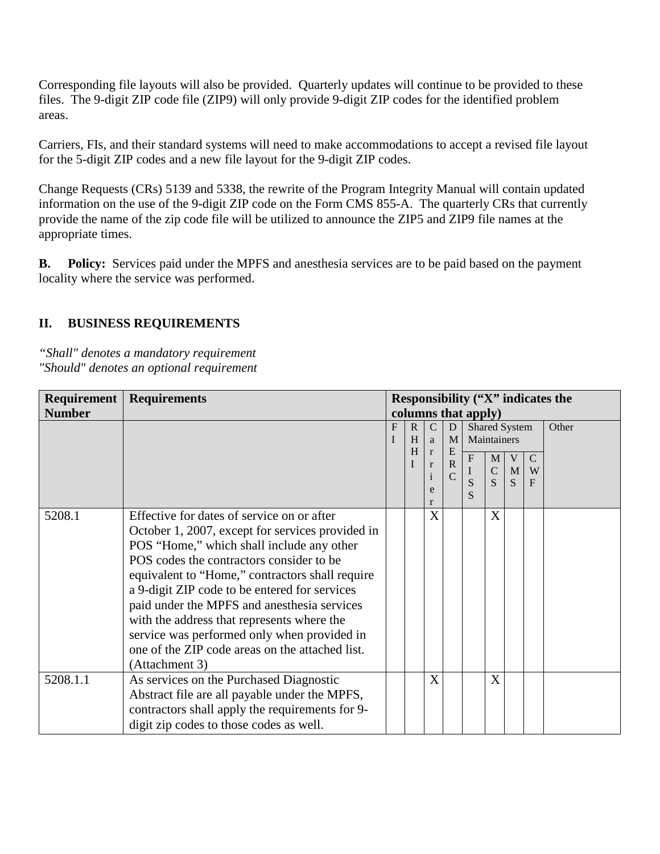Corresponding file layouts will also be provided. Quarterly updates will continue to be provided to these files. The 9-digit ZIP code file (ZIP9) will only provide 9-digit ZIP codes for the identified problem areas.

Carriers, FIs, and their standard systems will need to make accommodations to accept a revised file layout for the 5-digit ZIP codes and a new file layout for the 9-digit ZIP codes.

Change Requests (CRs) 5139 and 5338, the rewrite of the Program Integrity Manual will contain updated information on the use of the 9-digit ZIP code on the Form CMS 855-A. The quarterly CRs that currently provide the name of the zip code file will be utilized to announce the ZIP5 and ZIP9 file names at the appropriate times.

**B. Policy:** Services paid under the MPFS and anesthesia services are to be paid based on the payment locality where the service was performed.

#### **II. BUSINESS REQUIREMENTS**

*"Shall" denotes a mandatory requirement "Should" denotes an optional requirement*

|               | <b>Requirement   Requirements</b>                | Responsibility ("X" indicates the |              |               |                |                     |                        |              |               |  |   |  |             |  |  |  |
|---------------|--------------------------------------------------|-----------------------------------|--------------|---------------|----------------|---------------------|------------------------|--------------|---------------|--|---|--|-------------|--|--|--|
| <b>Number</b> |                                                  |                                   |              |               |                | columns that apply) |                        |              |               |  |   |  |             |  |  |  |
|               |                                                  | F                                 | $\mathbf{R}$ | $\mathcal{C}$ | D              |                     | Shared System<br>Other |              |               |  |   |  |             |  |  |  |
|               |                                                  |                                   | H            | a             |                |                     |                        |              |               |  | M |  | Maintainers |  |  |  |
|               |                                                  |                                   | H            | $\mathbf{r}$  | E<br>${\bf R}$ | $\overline{F}$      | M                      | V            | $\mathcal{C}$ |  |   |  |             |  |  |  |
|               |                                                  |                                   |              | r             | $\overline{C}$ | $\bf{I}$            | $\mathsf C$            | $\mathbf{M}$ | W             |  |   |  |             |  |  |  |
|               |                                                  |                                   |              | e             |                | S                   | S                      | S            | $\mathbf{F}$  |  |   |  |             |  |  |  |
|               |                                                  |                                   |              | r             |                | S                   |                        |              |               |  |   |  |             |  |  |  |
| 5208.1        | Effective for dates of service on or after       |                                   |              | $\mathbf{X}$  |                |                     | X                      |              |               |  |   |  |             |  |  |  |
|               | October 1, 2007, except for services provided in |                                   |              |               |                |                     |                        |              |               |  |   |  |             |  |  |  |
|               | POS "Home," which shall include any other        |                                   |              |               |                |                     |                        |              |               |  |   |  |             |  |  |  |
|               | POS codes the contractors consider to be         |                                   |              |               |                |                     |                        |              |               |  |   |  |             |  |  |  |
|               | equivalent to "Home," contractors shall require  |                                   |              |               |                |                     |                        |              |               |  |   |  |             |  |  |  |
|               | a 9-digit ZIP code to be entered for services    |                                   |              |               |                |                     |                        |              |               |  |   |  |             |  |  |  |
|               | paid under the MPFS and anesthesia services      |                                   |              |               |                |                     |                        |              |               |  |   |  |             |  |  |  |
|               | with the address that represents where the       |                                   |              |               |                |                     |                        |              |               |  |   |  |             |  |  |  |
|               | service was performed only when provided in      |                                   |              |               |                |                     |                        |              |               |  |   |  |             |  |  |  |
|               | one of the ZIP code areas on the attached list.  |                                   |              |               |                |                     |                        |              |               |  |   |  |             |  |  |  |
|               | (Attachment 3)                                   |                                   |              |               |                |                     |                        |              |               |  |   |  |             |  |  |  |
| 5208.1.1      | As services on the Purchased Diagnostic          |                                   |              | X             |                |                     | X                      |              |               |  |   |  |             |  |  |  |
|               | Abstract file are all payable under the MPFS,    |                                   |              |               |                |                     |                        |              |               |  |   |  |             |  |  |  |
|               | contractors shall apply the requirements for 9-  |                                   |              |               |                |                     |                        |              |               |  |   |  |             |  |  |  |
|               | digit zip codes to those codes as well.          |                                   |              |               |                |                     |                        |              |               |  |   |  |             |  |  |  |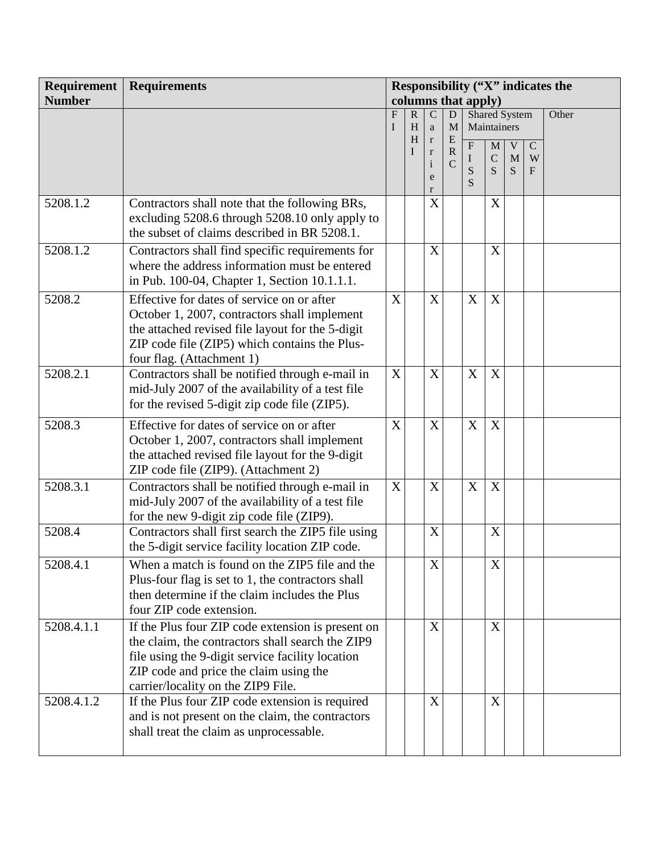| Requirement   | <b>Requirements</b>                                                                                                                                                                                                                       | Responsibility ("X" indicates the |                  |                             |                              |                     |                                 |                                   |                                  |       |
|---------------|-------------------------------------------------------------------------------------------------------------------------------------------------------------------------------------------------------------------------------------------|-----------------------------------|------------------|-----------------------------|------------------------------|---------------------|---------------------------------|-----------------------------------|----------------------------------|-------|
| <b>Number</b> |                                                                                                                                                                                                                                           |                                   |                  |                             |                              | columns that apply) |                                 |                                   |                                  |       |
|               |                                                                                                                                                                                                                                           | F<br>I                            | $\mathbf R$<br>H | $\overline{C}$              | $\mathbf D$<br>M             |                     | Shared System<br>Maintainers    |                                   |                                  | Other |
|               |                                                                                                                                                                                                                                           |                                   | H                | $\mathbf{a}$<br>$\mathbf r$ | ${\bf E}$                    |                     |                                 |                                   |                                  |       |
|               |                                                                                                                                                                                                                                           |                                   |                  | $\mathbf r$<br>$\mathbf{i}$ | $\mathbf R$<br>$\mathcal{C}$ | ${\bf F}$<br>I<br>S | $\mathbf M$<br>$\mathbf C$<br>S | $\mathbf{V}$<br>M<br><sub>S</sub> | $\mathbf C$<br>W<br>$\mathbf{F}$ |       |
|               |                                                                                                                                                                                                                                           |                                   |                  | e<br>$\mathbf{r}$           |                              | S                   |                                 |                                   |                                  |       |
| 5208.1.2      | Contractors shall note that the following BRs,<br>excluding 5208.6 through 5208.10 only apply to<br>the subset of claims described in BR 5208.1.                                                                                          |                                   |                  | X                           |                              |                     | X                               |                                   |                                  |       |
| 5208.1.2      | Contractors shall find specific requirements for<br>where the address information must be entered<br>in Pub. 100-04, Chapter 1, Section 10.1.1.1.                                                                                         |                                   |                  | X                           |                              |                     | X                               |                                   |                                  |       |
| 5208.2        | Effective for dates of service on or after<br>October 1, 2007, contractors shall implement<br>the attached revised file layout for the 5-digit<br>ZIP code file (ZIP5) which contains the Plus-<br>four flag. (Attachment 1)              | X                                 |                  | X                           |                              | X                   | X                               |                                   |                                  |       |
| 5208.2.1      | Contractors shall be notified through e-mail in<br>mid-July 2007 of the availability of a test file<br>for the revised 5-digit zip code file (ZIP5).                                                                                      | $\boldsymbol{\mathrm{X}}$         |                  | X                           |                              | X                   | X                               |                                   |                                  |       |
| 5208.3        | Effective for dates of service on or after<br>October 1, 2007, contractors shall implement<br>the attached revised file layout for the 9-digit<br>ZIP code file (ZIP9). (Attachment 2)                                                    | X                                 |                  | X                           |                              | X                   | X                               |                                   |                                  |       |
| 5208.3.1      | Contractors shall be notified through e-mail in<br>mid-July 2007 of the availability of a test file<br>for the new 9-digit zip code file (ZIP9).                                                                                          | X                                 |                  | X                           |                              | $\boldsymbol{X}$    | X                               |                                   |                                  |       |
| 5208.4        | Contractors shall first search the ZIP5 file using<br>the 5-digit service facility location ZIP code.                                                                                                                                     |                                   |                  | X                           |                              |                     | X                               |                                   |                                  |       |
| 5208.4.1      | When a match is found on the ZIP5 file and the<br>Plus-four flag is set to 1, the contractors shall<br>then determine if the claim includes the Plus<br>four ZIP code extension.                                                          |                                   |                  | X                           |                              |                     | X                               |                                   |                                  |       |
| 5208.4.1.1    | If the Plus four ZIP code extension is present on<br>the claim, the contractors shall search the ZIP9<br>file using the 9-digit service facility location<br>ZIP code and price the claim using the<br>carrier/locality on the ZIP9 File. |                                   |                  | X                           |                              |                     | X                               |                                   |                                  |       |
| 5208.4.1.2    | If the Plus four ZIP code extension is required<br>and is not present on the claim, the contractors<br>shall treat the claim as unprocessable.                                                                                            |                                   |                  | X                           |                              |                     | X                               |                                   |                                  |       |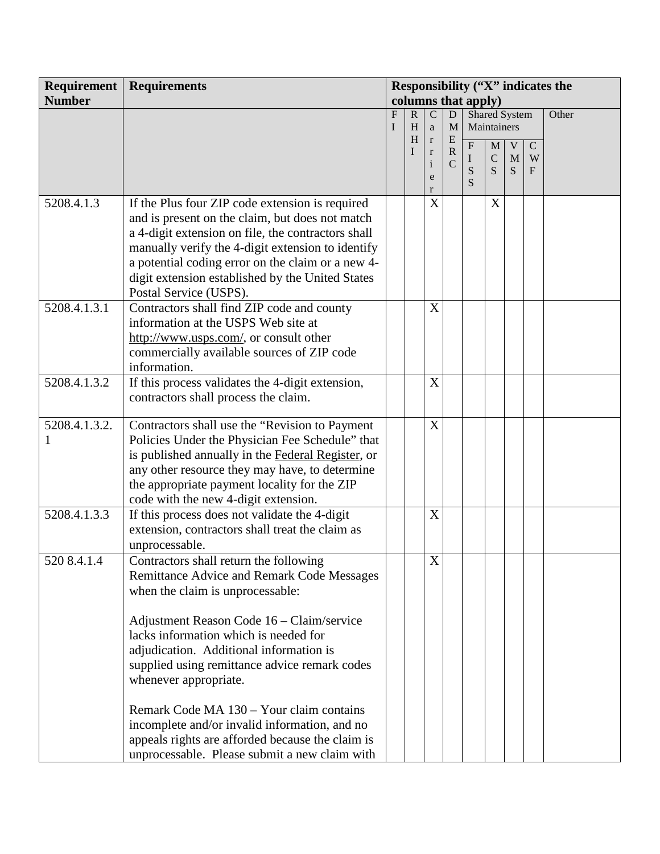| Requirement   | <b>Requirements</b>                                | Responsibility ("X" indicates the |             |                                |                |                         |                      |                             |                  |       |
|---------------|----------------------------------------------------|-----------------------------------|-------------|--------------------------------|----------------|-------------------------|----------------------|-----------------------------|------------------|-------|
| <b>Number</b> |                                                    |                                   |             |                                |                | columns that apply)     |                      |                             |                  |       |
|               |                                                    | F                                 | $\mathbf R$ | $\mathcal{C}$                  | ${\bf D}$      |                         | <b>Shared System</b> |                             |                  | Other |
|               |                                                    | I                                 | H<br>H      | a<br>$\mathbf r$               | M<br>${\bf E}$ |                         | Maintainers          |                             |                  |       |
|               |                                                    |                                   | I           | $\bf r$                        | $\mathbf R$    | $\overline{\mathrm{F}}$ | $\mathbf{M}$         | $\mathbf V$                 | $\mathbf C$      |       |
|               |                                                    |                                   |             | $\mathbf{i}$                   | $\mathcal{C}$  | I<br>S                  | $\mathsf C$<br>S     | $\mathbf M$<br><sub>S</sub> | W<br>$\mathbf F$ |       |
|               |                                                    |                                   |             | e                              |                | S                       |                      |                             |                  |       |
| 5208.4.1.3    | If the Plus four ZIP code extension is required    |                                   |             | r<br>$\boldsymbol{\mathrm{X}}$ |                |                         | X                    |                             |                  |       |
|               | and is present on the claim, but does not match    |                                   |             |                                |                |                         |                      |                             |                  |       |
|               | a 4-digit extension on file, the contractors shall |                                   |             |                                |                |                         |                      |                             |                  |       |
|               | manually verify the 4-digit extension to identify  |                                   |             |                                |                |                         |                      |                             |                  |       |
|               | a potential coding error on the claim or a new 4-  |                                   |             |                                |                |                         |                      |                             |                  |       |
|               | digit extension established by the United States   |                                   |             |                                |                |                         |                      |                             |                  |       |
|               | Postal Service (USPS).                             |                                   |             |                                |                |                         |                      |                             |                  |       |
| 5208.4.1.3.1  | Contractors shall find ZIP code and county         |                                   |             | X                              |                |                         |                      |                             |                  |       |
|               | information at the USPS Web site at                |                                   |             |                                |                |                         |                      |                             |                  |       |
|               | http://www.usps.com/, or consult other             |                                   |             |                                |                |                         |                      |                             |                  |       |
|               | commercially available sources of ZIP code         |                                   |             |                                |                |                         |                      |                             |                  |       |
|               | information.                                       |                                   |             |                                |                |                         |                      |                             |                  |       |
| 5208.4.1.3.2  | If this process validates the 4-digit extension,   |                                   |             | X                              |                |                         |                      |                             |                  |       |
|               | contractors shall process the claim.               |                                   |             |                                |                |                         |                      |                             |                  |       |
| 5208.4.1.3.2. | Contractors shall use the "Revision to Payment     |                                   |             | X                              |                |                         |                      |                             |                  |       |
|               | Policies Under the Physician Fee Schedule" that    |                                   |             |                                |                |                         |                      |                             |                  |       |
|               | is published annually in the Federal Register, or  |                                   |             |                                |                |                         |                      |                             |                  |       |
|               | any other resource they may have, to determine     |                                   |             |                                |                |                         |                      |                             |                  |       |
|               | the appropriate payment locality for the ZIP       |                                   |             |                                |                |                         |                      |                             |                  |       |
|               | code with the new 4-digit extension.               |                                   |             |                                |                |                         |                      |                             |                  |       |
| 5208.4.1.3.3  | If this process does not validate the 4-digit      |                                   |             | X                              |                |                         |                      |                             |                  |       |
|               | extension, contractors shall treat the claim as    |                                   |             |                                |                |                         |                      |                             |                  |       |
|               | unprocessable.                                     |                                   |             |                                |                |                         |                      |                             |                  |       |
| 520 8.4.1.4   | Contractors shall return the following             |                                   |             | $\mathbf X$                    |                |                         |                      |                             |                  |       |
|               | Remittance Advice and Remark Code Messages         |                                   |             |                                |                |                         |                      |                             |                  |       |
|               | when the claim is unprocessable:                   |                                   |             |                                |                |                         |                      |                             |                  |       |
|               |                                                    |                                   |             |                                |                |                         |                      |                             |                  |       |
|               | Adjustment Reason Code 16 – Claim/service          |                                   |             |                                |                |                         |                      |                             |                  |       |
|               | lacks information which is needed for              |                                   |             |                                |                |                         |                      |                             |                  |       |
|               | adjudication. Additional information is            |                                   |             |                                |                |                         |                      |                             |                  |       |
|               | supplied using remittance advice remark codes      |                                   |             |                                |                |                         |                      |                             |                  |       |
|               | whenever appropriate.                              |                                   |             |                                |                |                         |                      |                             |                  |       |
|               |                                                    |                                   |             |                                |                |                         |                      |                             |                  |       |
|               | Remark Code MA 130 – Your claim contains           |                                   |             |                                |                |                         |                      |                             |                  |       |
|               | incomplete and/or invalid information, and no      |                                   |             |                                |                |                         |                      |                             |                  |       |
|               | appeals rights are afforded because the claim is   |                                   |             |                                |                |                         |                      |                             |                  |       |
|               | unprocessable. Please submit a new claim with      |                                   |             |                                |                |                         |                      |                             |                  |       |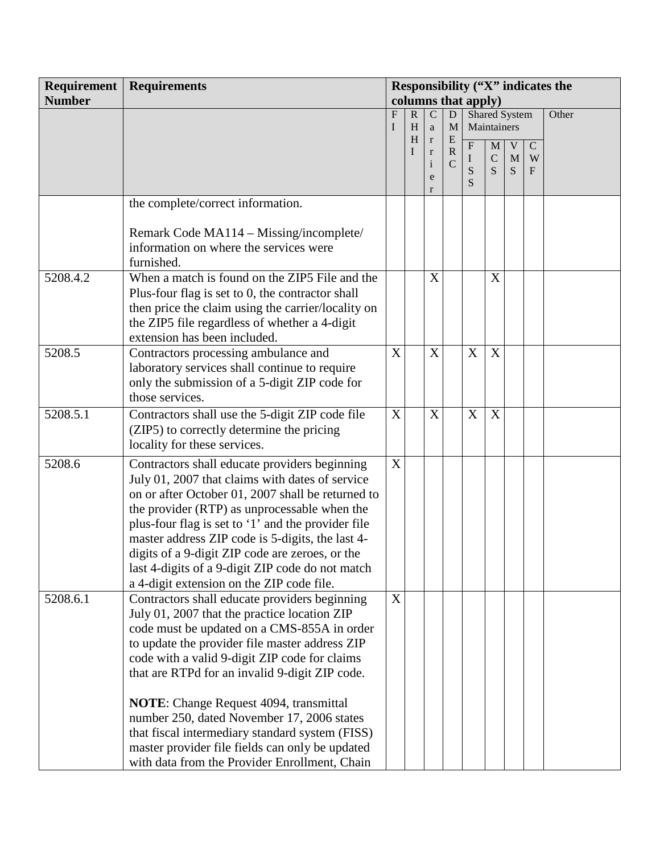| Requirement   | <b>Requirements</b>                                | Responsibility ("X" indicates the |                   |                        |                        |                     |                      |              |             |       |
|---------------|----------------------------------------------------|-----------------------------------|-------------------|------------------------|------------------------|---------------------|----------------------|--------------|-------------|-------|
| <b>Number</b> |                                                    |                                   |                   |                        |                        | columns that apply) |                      |              |             |       |
|               |                                                    | $\mathbf{F}$                      | $\mathbf{R}$      | ${\bf C}$              | ${\bf D}$              |                     | <b>Shared System</b> |              |             | Other |
|               |                                                    | I                                 | H                 | a                      | M                      |                     | Maintainers          |              |             |       |
|               |                                                    |                                   | H<br>$\mathbf{I}$ | $\mathbf r$<br>$\bf r$ | ${\bf E}$<br>${\bf R}$ | $\overline{F}$      | $\mathbf M$          | $\mathbf V$  | $\mathbf C$ |       |
|               |                                                    |                                   |                   | $\rm i$                | $\mathcal{C}$          | I                   | $\mathsf C$          | M            | W           |       |
|               |                                                    |                                   |                   | e                      |                        | S<br>S              | S                    | <sub>S</sub> | F           |       |
|               |                                                    |                                   |                   | r                      |                        |                     |                      |              |             |       |
|               | the complete/correct information.                  |                                   |                   |                        |                        |                     |                      |              |             |       |
|               |                                                    |                                   |                   |                        |                        |                     |                      |              |             |       |
|               | Remark Code MA114 – Missing/incomplete/            |                                   |                   |                        |                        |                     |                      |              |             |       |
|               | information on where the services were             |                                   |                   |                        |                        |                     |                      |              |             |       |
|               | furnished.                                         |                                   |                   |                        |                        |                     |                      |              |             |       |
| 5208.4.2      | When a match is found on the ZIP5 File and the     |                                   |                   | X                      |                        |                     | X                    |              |             |       |
|               | Plus-four flag is set to 0, the contractor shall   |                                   |                   |                        |                        |                     |                      |              |             |       |
|               | then price the claim using the carrier/locality on |                                   |                   |                        |                        |                     |                      |              |             |       |
|               | the ZIP5 file regardless of whether a 4-digit      |                                   |                   |                        |                        |                     |                      |              |             |       |
|               | extension has been included.                       |                                   |                   |                        |                        |                     |                      |              |             |       |
| 5208.5        | Contractors processing ambulance and               | X                                 |                   | X                      |                        | X                   | X                    |              |             |       |
|               | laboratory services shall continue to require      |                                   |                   |                        |                        |                     |                      |              |             |       |
|               | only the submission of a 5-digit ZIP code for      |                                   |                   |                        |                        |                     |                      |              |             |       |
|               | those services.                                    |                                   |                   |                        |                        |                     |                      |              |             |       |
| 5208.5.1      | Contractors shall use the 5-digit ZIP code file    | X                                 |                   | X                      |                        | X                   | $\mathbf X$          |              |             |       |
|               | (ZIP5) to correctly determine the pricing          |                                   |                   |                        |                        |                     |                      |              |             |       |
|               | locality for these services.                       |                                   |                   |                        |                        |                     |                      |              |             |       |
| 5208.6        | Contractors shall educate providers beginning      | X                                 |                   |                        |                        |                     |                      |              |             |       |
|               | July 01, 2007 that claims with dates of service    |                                   |                   |                        |                        |                     |                      |              |             |       |
|               | on or after October 01, 2007 shall be returned to  |                                   |                   |                        |                        |                     |                      |              |             |       |
|               | the provider (RTP) as unprocessable when the       |                                   |                   |                        |                        |                     |                      |              |             |       |
|               | plus-four flag is set to '1' and the provider file |                                   |                   |                        |                        |                     |                      |              |             |       |
|               | master address ZIP code is 5-digits, the last 4-   |                                   |                   |                        |                        |                     |                      |              |             |       |
|               | digits of a 9-digit ZIP code are zeroes, or the    |                                   |                   |                        |                        |                     |                      |              |             |       |
|               | last 4-digits of a 9-digit ZIP code do not match   |                                   |                   |                        |                        |                     |                      |              |             |       |
|               | a 4-digit extension on the ZIP code file.          |                                   |                   |                        |                        |                     |                      |              |             |       |
| 5208.6.1      | Contractors shall educate providers beginning      | X                                 |                   |                        |                        |                     |                      |              |             |       |
|               | July 01, 2007 that the practice location ZIP       |                                   |                   |                        |                        |                     |                      |              |             |       |
|               | code must be updated on a CMS-855A in order        |                                   |                   |                        |                        |                     |                      |              |             |       |
|               | to update the provider file master address ZIP     |                                   |                   |                        |                        |                     |                      |              |             |       |
|               | code with a valid 9-digit ZIP code for claims      |                                   |                   |                        |                        |                     |                      |              |             |       |
|               | that are RTPd for an invalid 9-digit ZIP code.     |                                   |                   |                        |                        |                     |                      |              |             |       |
|               | <b>NOTE:</b> Change Request 4094, transmittal      |                                   |                   |                        |                        |                     |                      |              |             |       |
|               | number 250, dated November 17, 2006 states         |                                   |                   |                        |                        |                     |                      |              |             |       |
|               | that fiscal intermediary standard system (FISS)    |                                   |                   |                        |                        |                     |                      |              |             |       |
|               | master provider file fields can only be updated    |                                   |                   |                        |                        |                     |                      |              |             |       |
|               | with data from the Provider Enrollment, Chain      |                                   |                   |                        |                        |                     |                      |              |             |       |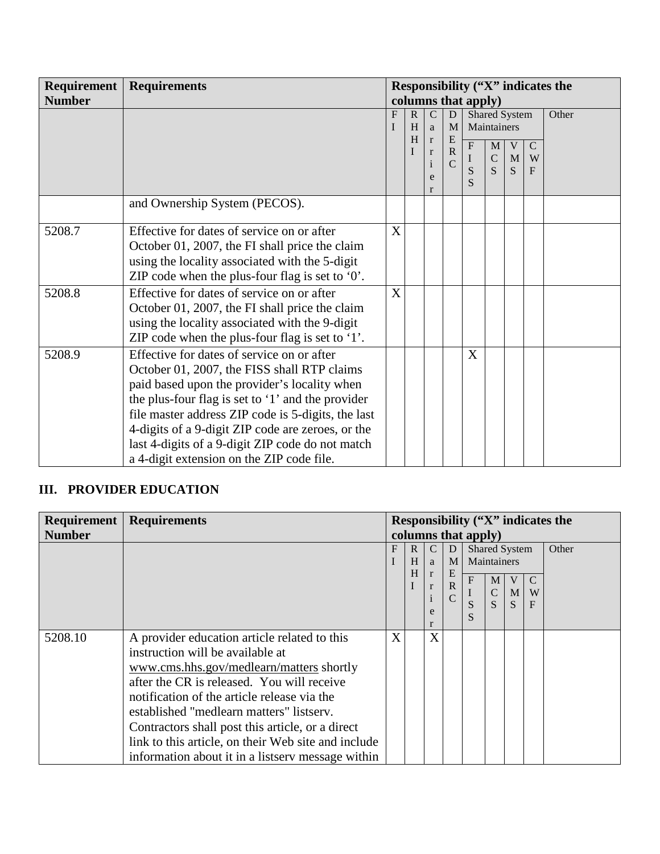| Requirement   | <b>Requirements</b>                                | Responsibility ("X" indicates the<br>columns that apply) |                       |                              |                  |                   |               |   |             |       |
|---------------|----------------------------------------------------|----------------------------------------------------------|-----------------------|------------------------------|------------------|-------------------|---------------|---|-------------|-------|
| <b>Number</b> |                                                    |                                                          |                       |                              |                  |                   |               |   |             |       |
|               |                                                    | F                                                        | $\mathbf{R}$          | $\mathcal{C}$                | D                |                   | Shared System |   |             | Other |
|               |                                                    |                                                          | H<br>M<br>I<br>a<br>H |                              |                  |                   | Maintainers   |   |             |       |
|               |                                                    |                                                          |                       | $\mathbf{r}$<br>$\mathbf{r}$ | E<br>$\mathbf R$ | $\overline{F}$    | M             | V | $\mathbf C$ |       |
|               |                                                    |                                                          |                       | $\mathbf{1}$                 | $\mathcal{C}$    | $\bf{I}$          | ${\bf C}$     | M | W           |       |
|               |                                                    |                                                          |                       | e                            |                  | S<br>$\mathbf{S}$ | S             | S | F           |       |
|               |                                                    |                                                          |                       | r                            |                  |                   |               |   |             |       |
|               | and Ownership System (PECOS).                      |                                                          |                       |                              |                  |                   |               |   |             |       |
|               |                                                    |                                                          |                       |                              |                  |                   |               |   |             |       |
| 5208.7        | Effective for dates of service on or after         | X                                                        |                       |                              |                  |                   |               |   |             |       |
|               | October 01, 2007, the FI shall price the claim     |                                                          |                       |                              |                  |                   |               |   |             |       |
|               | using the locality associated with the 5-digit     |                                                          |                       |                              |                  |                   |               |   |             |       |
|               | ZIP code when the plus-four flag is set to $0$ .   |                                                          |                       |                              |                  |                   |               |   |             |       |
| 5208.8        | Effective for dates of service on or after         | X                                                        |                       |                              |                  |                   |               |   |             |       |
|               | October 01, 2007, the FI shall price the claim     |                                                          |                       |                              |                  |                   |               |   |             |       |
|               | using the locality associated with the 9-digit     |                                                          |                       |                              |                  |                   |               |   |             |       |
|               | ZIP code when the plus-four flag is set to $'1'$ . |                                                          |                       |                              |                  |                   |               |   |             |       |
| 5208.9        | Effective for dates of service on or after         |                                                          |                       |                              |                  | X                 |               |   |             |       |
|               | October 01, 2007, the FISS shall RTP claims        |                                                          |                       |                              |                  |                   |               |   |             |       |
|               | paid based upon the provider's locality when       |                                                          |                       |                              |                  |                   |               |   |             |       |
|               | the plus-four flag is set to '1' and the provider  |                                                          |                       |                              |                  |                   |               |   |             |       |
|               | file master address ZIP code is 5-digits, the last |                                                          |                       |                              |                  |                   |               |   |             |       |
|               | 4-digits of a 9-digit ZIP code are zeroes, or the  |                                                          |                       |                              |                  |                   |               |   |             |       |
|               | last 4-digits of a 9-digit ZIP code do not match   |                                                          |                       |                              |                  |                   |               |   |             |       |
|               | a 4-digit extension on the ZIP code file.          |                                                          |                       |                              |                  |                   |               |   |             |       |

## **III. PROVIDER EDUCATION**

| Requirement   | <b>Requirements</b>                                                                                                                                                                                                                                                                                                                                                                                                                   | Responsibility ("X" indicates the |                        |                                             |                                           |                                                                                                |                        |                   |       |
|---------------|---------------------------------------------------------------------------------------------------------------------------------------------------------------------------------------------------------------------------------------------------------------------------------------------------------------------------------------------------------------------------------------------------------------------------------------|-----------------------------------|------------------------|---------------------------------------------|-------------------------------------------|------------------------------------------------------------------------------------------------|------------------------|-------------------|-------|
| <b>Number</b> |                                                                                                                                                                                                                                                                                                                                                                                                                                       | columns that apply)               |                        |                                             |                                           |                                                                                                |                        |                   |       |
|               |                                                                                                                                                                                                                                                                                                                                                                                                                                       | F                                 | $\mathbb{R}$<br>H<br>H | C<br>a<br>$\mathbf{r}$<br>$\mathbf{r}$<br>e | D<br>M<br>E<br>${\bf R}$<br>$\mathcal{C}$ | <b>Shared System</b><br>Maintainers<br>$\boldsymbol{\mathrm{F}}$<br>M<br>$\mathbf C$<br>S<br>S | V<br>$\mathbf{M}$<br>S | W<br>$\mathbf{F}$ | Other |
| 5208.10       | A provider education article related to this<br>instruction will be available at<br>www.cms.hhs.gov/medlearn/matters shortly<br>after the CR is released. You will receive<br>notification of the article release via the<br>established "medlearn matters" listserv.<br>Contractors shall post this article, or a direct<br>link to this article, on their Web site and include<br>information about it in a listsery message within | X                                 |                        | X                                           |                                           |                                                                                                |                        |                   |       |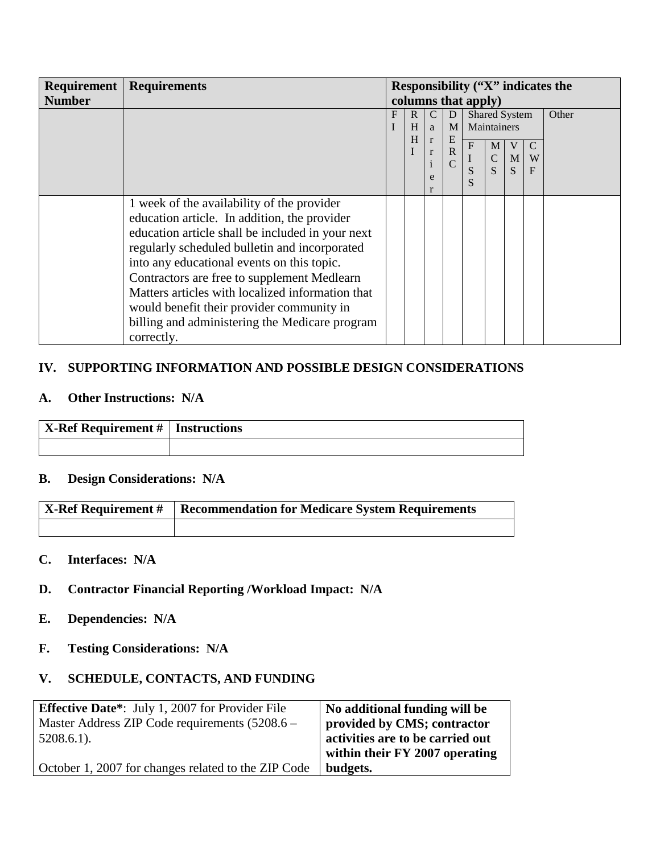|               | <b>Requirement   Requirements</b>                | <b>Responsibility ("X"</b> indicates the |              |               |                  |           |               |              |               |       |
|---------------|--------------------------------------------------|------------------------------------------|--------------|---------------|------------------|-----------|---------------|--------------|---------------|-------|
| <b>Number</b> |                                                  | columns that apply)                      |              |               |                  |           |               |              |               |       |
|               |                                                  | F                                        | $\mathbf{R}$ | $\mathcal{C}$ | D                |           | Shared System |              |               | Other |
|               |                                                  |                                          | H            | a             | M <sub>1</sub>   |           | Maintainers   |              |               |       |
|               |                                                  |                                          | H            | $\mathbf{r}$  | E<br>$\mathbf R$ | ${\bf F}$ | M             | V            | $\mathcal{C}$ |       |
|               |                                                  |                                          |              | $\mathbf{r}$  | $\overline{C}$   |           | $\mathbf C$   | $\mathbf{M}$ | W             |       |
|               |                                                  |                                          |              | e             |                  |           | S             | <sub>S</sub> | $\mathbf F$   |       |
|               |                                                  |                                          |              |               |                  |           |               |              |               |       |
|               | 1 week of the availability of the provider       |                                          |              |               |                  |           |               |              |               |       |
|               | education article. In addition, the provider     |                                          |              |               |                  |           |               |              |               |       |
|               | education article shall be included in your next |                                          |              |               |                  |           |               |              |               |       |
|               | regularly scheduled bulletin and incorporated    |                                          |              |               |                  |           |               |              |               |       |
|               | into any educational events on this topic.       |                                          |              |               |                  |           |               |              |               |       |
|               | Contractors are free to supplement Medlearn      |                                          |              |               |                  |           |               |              |               |       |
|               | Matters articles with localized information that |                                          |              |               |                  |           |               |              |               |       |
|               | would benefit their provider community in        |                                          |              |               |                  |           |               |              |               |       |
|               | billing and administering the Medicare program   |                                          |              |               |                  |           |               |              |               |       |
|               | correctly.                                       |                                          |              |               |                  |           |               |              |               |       |

## **IV. SUPPORTING INFORMATION AND POSSIBLE DESIGN CONSIDERATIONS**

#### **A. Other Instructions: N/A**

| $\vert$ X-Ref Requirement #   Instructions |  |
|--------------------------------------------|--|
|                                            |  |

## **B. Design Considerations: N/A**

| X-Ref Requirement #   Recommendation for Medicare System Requirements |
|-----------------------------------------------------------------------|
|                                                                       |

#### **C. Interfaces: N/A**

### **D. Contractor Financial Reporting /Workload Impact: N/A**

- **E. Dependencies: N/A**
- **F. Testing Considerations: N/A**

## **V. SCHEDULE, CONTACTS, AND FUNDING**

| <b>Effective Date*:</b> July 1, 2007 for Provider File | No additional funding will be    |
|--------------------------------------------------------|----------------------------------|
| Master Address ZIP Code requirements $(5208.6 -$       | provided by CMS; contractor      |
| $5208.6.1$ ).                                          | activities are to be carried out |
|                                                        | within their FY 2007 operating   |
| October 1, 2007 for changes related to the ZIP Code    | budgets.                         |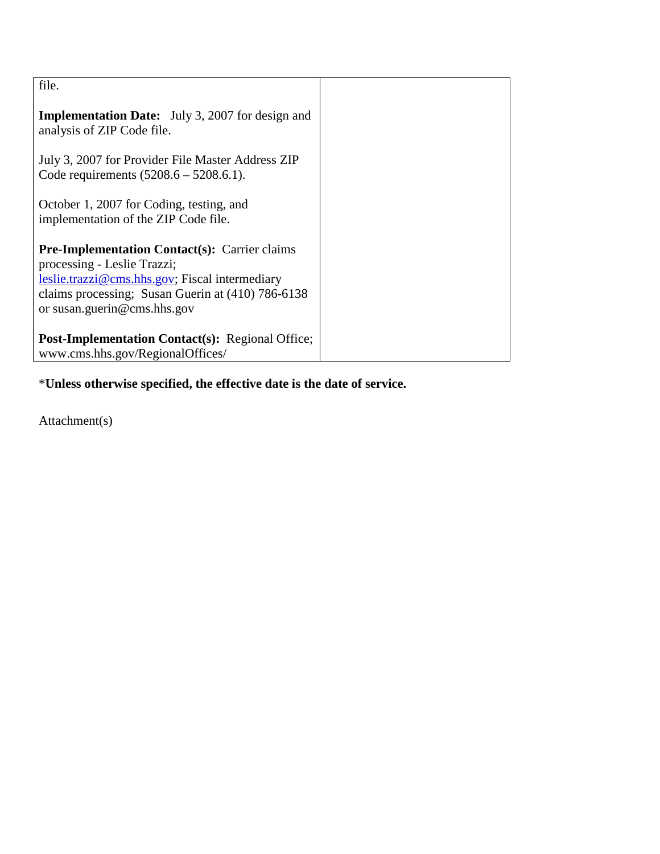| file.                                                                                                                                                                                                                     |  |
|---------------------------------------------------------------------------------------------------------------------------------------------------------------------------------------------------------------------------|--|
| <b>Implementation Date:</b> July 3, 2007 for design and<br>analysis of ZIP Code file.                                                                                                                                     |  |
| July 3, 2007 for Provider File Master Address ZIP<br>Code requirements $(5208.6 - 5208.6.1)$ .                                                                                                                            |  |
| October 1, 2007 for Coding, testing, and<br>implementation of the ZIP Code file.                                                                                                                                          |  |
| <b>Pre-Implementation Contact(s): Carrier claims</b><br>processing - Leslie Trazzi;<br>leslie.trazzi@cms.hhs.gov; Fiscal intermediary<br>claims processing; Susan Guerin at (410) 786-6138<br>or susan.guerin@cms.hhs.gov |  |
| <b>Post-Implementation Contact(s): Regional Office;</b><br>www.cms.hhs.gov/RegionalOffices/                                                                                                                               |  |

\***Unless otherwise specified, the effective date is the date of service.**

Attachment(s)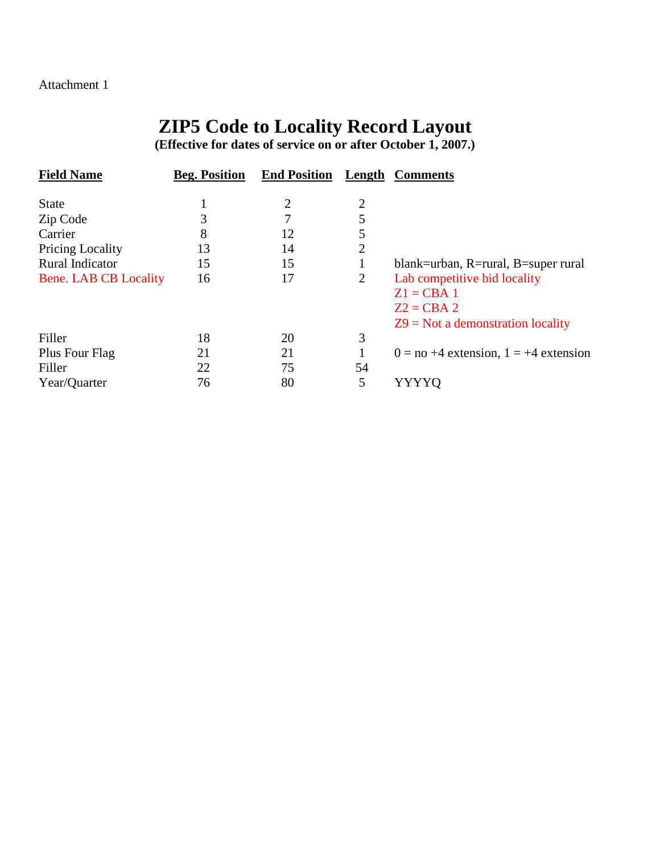#### Attachment 1

# **ZIP5 Code to Locality Record Layout**

**(Effective for dates of service on or after October 1, 2007.)**

| <b>Field Name</b>       | <b>Beg. Position</b> | <b>End Position</b> | Length         | <b>Comments</b>                            |
|-------------------------|----------------------|---------------------|----------------|--------------------------------------------|
| <b>State</b>            |                      |                     | 2              |                                            |
| Zip Code                | 3                    |                     |                |                                            |
| Carrier                 | 8                    | 12                  |                |                                            |
| <b>Pricing Locality</b> | 13                   | 14                  | 2              |                                            |
| Rural Indicator         | 15                   | 15                  |                | blank=urban, R=rural, B=super rural        |
| Bene. LAB CB Locality   | 16                   | 17                  | $\overline{2}$ | Lab competitive bid locality               |
|                         |                      |                     |                | $Z1 = CBA 1$                               |
|                         |                      |                     |                | $Z2 = CBA2$                                |
|                         |                      |                     |                | $Z9$ = Not a demonstration locality        |
| Filler                  | 18                   | 20                  | 3              |                                            |
| Plus Four Flag          | 21                   | 21                  |                | $0 = no + 4$ extension, $1 = +4$ extension |
| Filler                  | 22                   | 75                  | 54             |                                            |
| Year/Quarter            | 76                   | 80                  | 5              | YYYYO                                      |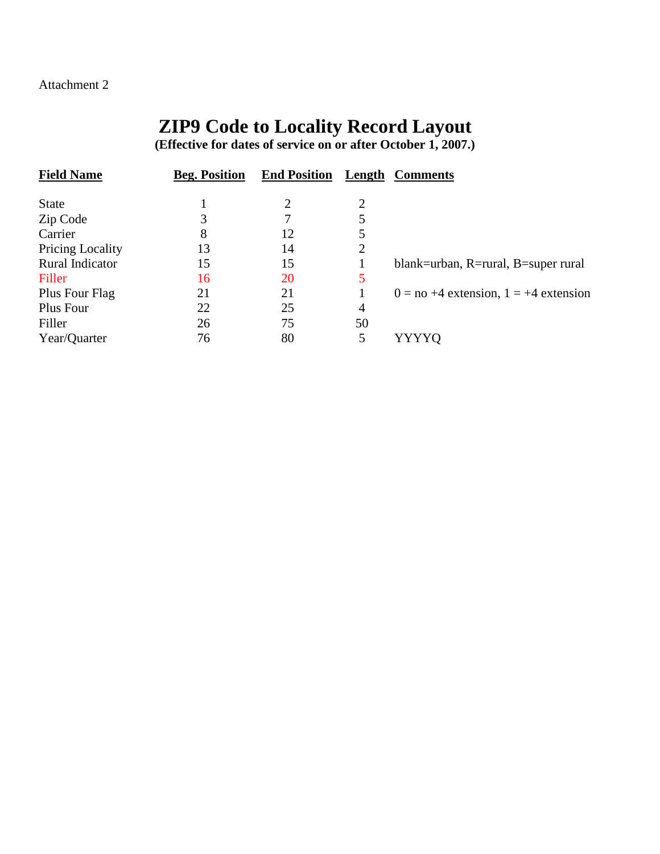### Attachment 2

# **ZIP9 Code to Locality Record Layout**

**(Effective for dates of service on or after October 1, 2007.)**

| <b>Beg. Position</b> | <b>End Position</b> | Length | <b>Comments</b>                            |
|----------------------|---------------------|--------|--------------------------------------------|
|                      |                     |        |                                            |
| 3                    |                     |        |                                            |
| 8                    | 12                  |        |                                            |
| 13                   | 14                  | 2      |                                            |
| 15                   | 15                  |        | blank=urban, R=rural, B=super rural        |
| 16                   | <b>20</b>           | 5      |                                            |
| 21                   | 21                  |        | $0 = no + 4$ extension, $1 = +4$ extension |
| 22                   | 25                  | 4      |                                            |
| 26                   | 75                  | 50     |                                            |
| 76                   | 80                  | 5      | YYYYQ                                      |
|                      |                     |        |                                            |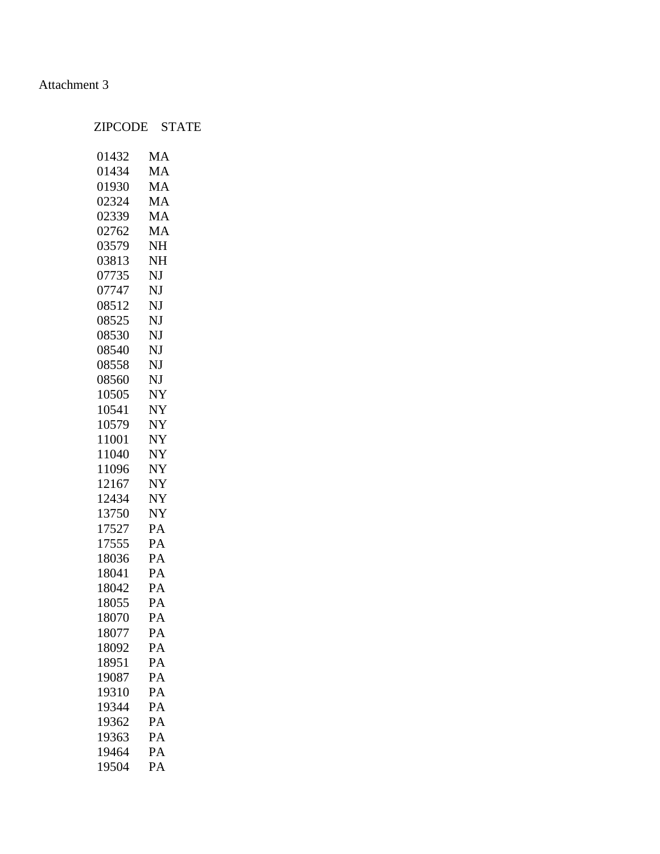### Attachment 3

## ZIPCODE STATE

| 01432 | MA        |
|-------|-----------|
| 01434 | MA        |
| 01930 | MA        |
| 02324 | MA        |
| 02339 | MA        |
| 02762 | MA        |
| 03579 | NH        |
| 03813 | NH        |
| 07735 | NJ        |
| 07747 | NJ        |
| 08512 | NJ        |
| 08525 | NJ        |
| 08530 | NJ        |
| 08540 | NJ        |
| 08558 | NJ        |
| 08560 | NJ        |
| 10505 | NY        |
| 10541 | NY        |
| 10579 | NY        |
| 11001 | <b>NY</b> |
| 11040 | NY        |
| 11096 | NY        |
| 12167 | <b>NY</b> |
| 12434 | NY        |
| 13750 | NY        |
| 17527 | PA        |
| 17555 | PA        |
| 18036 | PA        |
| 18041 | PA        |
| 18042 | PA        |
| 18055 | PA        |
| 18070 | PA        |
| 18077 | PA        |
| 18092 | PA        |
| 18951 | PA        |
| 19087 | PA        |
| 19310 | PA        |
| 19344 | PA        |
| 19362 | PA        |
| 19363 | PA        |
| 19464 | PA        |
| 19504 | PA        |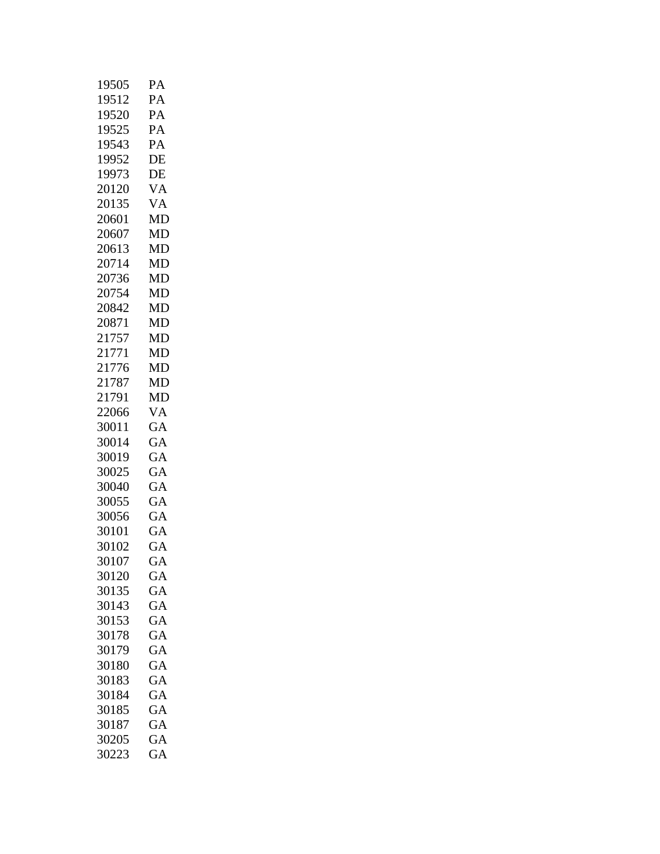| 19505 | PА        |
|-------|-----------|
| 19512 | PA        |
| 19520 | PA        |
| 19525 | PA        |
| 19543 | PA        |
| 19952 | DE        |
| 19973 | DE        |
| 20120 | VA        |
| 20135 | VA        |
| 20601 | <b>MD</b> |
| 20607 | MD        |
| 20613 | <b>MD</b> |
| 20714 | MD        |
| 20736 | MD        |
| 20754 | MD        |
| 20842 | MD        |
| 20871 | MD        |
| 21757 | MD        |
| 21771 | MD        |
| 21776 | MD        |
| 21787 | MD        |
| 21791 | MD        |
| 22066 | VA        |
| 30011 | GA        |
| 30014 | GA        |
| 30019 | GA        |
| 30025 | GA        |
| 30040 | GA        |
| 30055 | GA        |
| 30056 | GA        |
| 30101 | <b>GA</b> |
| 30102 | <b>GA</b> |
| 30107 | GА        |
| 30120 | GA        |
| 30135 | GA        |
| 30143 | GA        |
| 30153 | GA        |
| 30178 | GA        |
| 30179 | GA        |
| 30180 | GA        |
| 30183 | GA        |
| 30184 | GA        |
| 30185 | GA        |
| 30187 | GA        |
| 30205 | GA        |
| 30223 | GA        |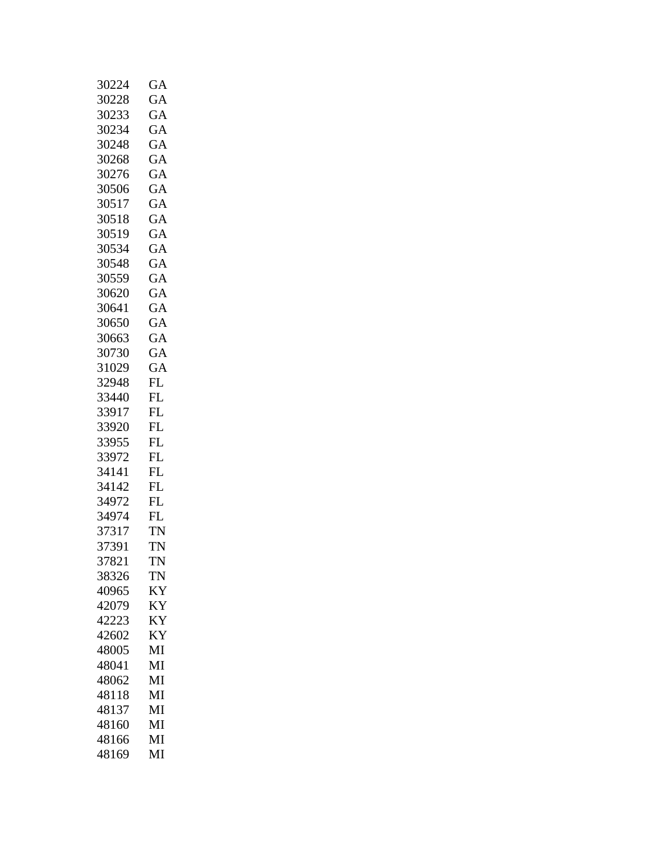| 30224 | GA        |
|-------|-----------|
| 30228 | GA        |
| 30233 | GA        |
| 30234 | GA        |
| 30248 | GA        |
| 30268 | GA        |
| 30276 | GA        |
| 30506 | GА        |
| 30517 | GA        |
| 30518 | GA        |
| 30519 | GA        |
| 30534 | GA        |
| 30548 | GA        |
| 30559 | GA        |
| 30620 | GA        |
| 30641 | GA        |
| 30650 | GA        |
| 30663 | GA        |
| 30730 | GA        |
| 31029 | GA        |
| 32948 | FL        |
| 33440 | FL        |
| 33917 | FL        |
| 33920 | FL        |
| 33955 | FL        |
| 33972 | <b>FL</b> |
| 34141 | <b>FL</b> |
| 34142 | FL        |
| 34972 | FL        |
| 34974 | FL        |
| 37317 | TN        |
| 37391 | <b>TN</b> |
| 37821 | TN        |
| 38326 | TN        |
| 40965 | ΚY        |
| 42079 | KY        |
| 42223 | <b>KY</b> |
| 42602 | ΚY        |
| 48005 | MI        |
| 48041 | MI        |
| 48062 | MI        |
| 48118 | MI        |
| 48137 | MI        |
| 48160 | MI        |
| 48166 | MI        |
| 48169 | MI        |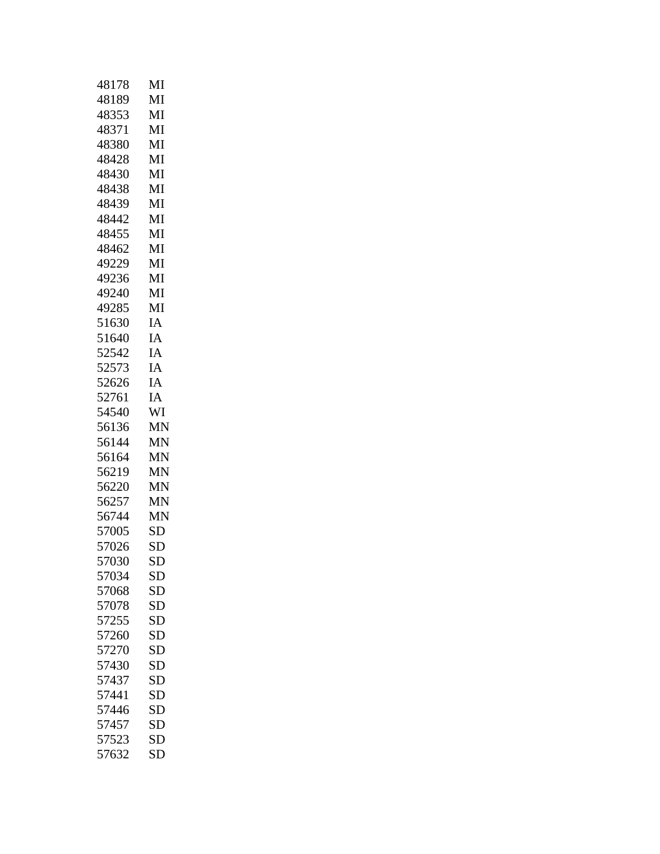| 48178 | MI        |
|-------|-----------|
| 48189 | MI        |
| 48353 | MI        |
| 48371 | MI        |
| 48380 | MI        |
| 48428 | MI        |
| 48430 | MI        |
| 48438 | MI        |
| 48439 | MI        |
| 48442 | MI        |
| 48455 | MI        |
| 48462 | MI        |
| 49229 | MI        |
| 49236 | MI        |
| 49240 | MI        |
| 49285 | MI        |
| 51630 | IA        |
| 51640 | IA        |
| 52542 | IA        |
| 52573 | IA        |
| 52626 | IA        |
| 52761 | IA        |
| 54540 | WI        |
| 56136 | <b>MN</b> |
| 56144 | <b>MN</b> |
| 56164 | <b>MN</b> |
| 56219 | <b>MN</b> |
| 56220 | MΝ        |
| 56257 | <b>MN</b> |
| 56744 | <b>MN</b> |
| 57005 | <b>SD</b> |
| 57026 | <b>SD</b> |
| 57030 | SD        |
| 57034 | SD        |
| 57068 | SD        |
| 57078 | SD        |
| 57255 | <b>SD</b> |
| 57260 | SD        |
| 57270 | <b>SD</b> |
| 57430 | <b>SD</b> |
| 57437 | <b>SD</b> |
| 57441 | <b>SD</b> |
| 57446 | SD        |
| 57457 | <b>SD</b> |
| 57523 | SD        |
| 57632 | <b>SD</b> |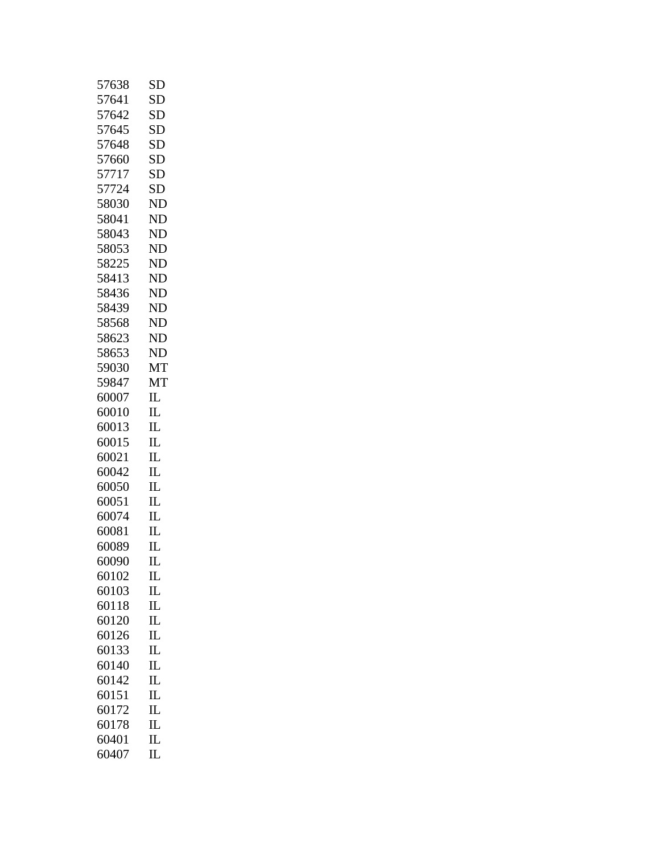| 57638 | SD                              |
|-------|---------------------------------|
| 57641 | <b>SD</b>                       |
| 57642 | SD                              |
| 57645 | SD                              |
| 57648 | <b>SD</b>                       |
| 57660 | SD                              |
| 57717 | <b>SD</b>                       |
| 57724 | <b>SD</b>                       |
| 58030 | ND                              |
| 58041 | <b>ND</b>                       |
| 58043 | <b>ND</b>                       |
| 58053 | N <sub>D</sub>                  |
| 58225 | <b>ND</b>                       |
| 58413 | <b>ND</b>                       |
| 58436 | <b>ND</b>                       |
| 58439 | <b>ND</b>                       |
| 58568 | <b>ND</b>                       |
| 58623 | <b>ND</b>                       |
| 58653 | <b>ND</b>                       |
| 59030 | MT                              |
| 59847 | MT                              |
| 60007 | $_{\rm IL}$                     |
| 60010 | $_{\rm IL}$                     |
| 60013 | $_{\rm IL}$                     |
| 60015 | $_{\rm IL}$                     |
| 60021 | $_{\rm IL}$                     |
| 60042 | $\mathbf{I}$                    |
| 60050 | $_{\rm IL}$                     |
| 60051 | $_{\rm IL}$                     |
| 60074 | $\mathbf{I}$                    |
| 60081 | IL                              |
| 60089 | IL                              |
| 60090 | $\mathop{\mathrm{II}}\nolimits$ |
| 60102 | IL                              |
| 60103 | $_{\rm IL}$                     |
| 60118 | IL                              |
| 60120 | $\mathbf{I}$                    |
| 60126 | $_{\rm IL}$                     |
| 60133 | $_{\rm IL}$                     |
| 60140 | $_{\rm IL}$                     |
| 60142 | $\mathop{\mathrm{IL}}$          |
| 60151 | $_{\rm IL}$                     |
| 60172 | $_{\rm IL}$                     |
| 60178 | IL                              |
| 60401 | $_{\rm IL}$                     |
| 60407 | $_{\rm IL}$                     |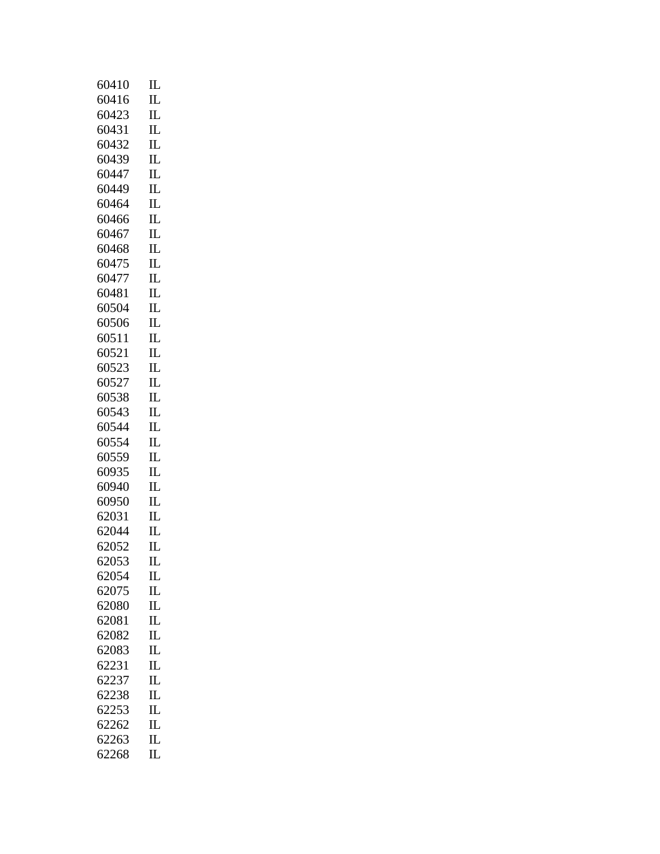| 60410 | $_{\rm IL}$             |
|-------|-------------------------|
| 60416 | $_{\rm IL}$             |
| 60423 | $\overline{\text{IL}}$  |
| 60431 | $_{\rm IL}$             |
| 60432 | $_{\rm IL}$             |
| 60439 | $_{\rm IL}$             |
| 60447 | $_{\rm IL}$             |
| 60449 | IL                      |
| 60464 | $\mathop{\mathrm{IL}}$  |
| 60466 | $_{\rm IL}$             |
| 60467 | $\mathop{\mathrm{IL}}$  |
| 60468 | $_{\rm IL}$             |
| 60475 | $_{\rm IL}$             |
| 60477 | $_{\rm IL}$             |
| 60481 | $_{\rm IL}$             |
| 60504 | $_{\rm IL}$             |
| 60506 | $_{\rm IL}$             |
| 60511 | $\mathbf{I}$            |
| 60521 | $_{\rm IL}$             |
| 60523 | $_{\rm IL}$             |
| 60527 | $\mathop{\mathrm{IL}}$  |
| 60538 | $\overline{\text{IL}}$  |
| 60543 | $_{\rm IL}$             |
| 60544 | $_{\rm IL}$             |
| 60554 | $\mathop{\mathrm{IL}}$  |
| 60559 | $_{\rm IL}$             |
| 60935 | $_{\rm IL}$             |
| 60940 | $\mathbf{I}$            |
| 60950 | $_{\rm IL}$             |
| 62031 | $_{\rm IL}$             |
| 62044 | $\mathbf{I}$            |
| 62052 | $_{\rm IL}$             |
| 62053 | П                       |
| 62054 | $_{\rm IL}$             |
| 62075 | $_{\rm IL}$             |
| 62080 | $_{\rm IL}$             |
| 62081 | $_{\rm IL}$             |
| 62082 | $\overline{\mathbf{L}}$ |
| 62083 | $\overline{\text{IL}}$  |
| 62231 | $_{\rm IL}$             |
| 62237 | $\overline{\mathbf{L}}$ |
| 62238 | $_{\rm IL}$             |
| 62253 | $_{\rm IL}$             |
| 62262 | IL                      |
| 62263 | IL                      |
| 62268 | $\overline{\text{IL}}$  |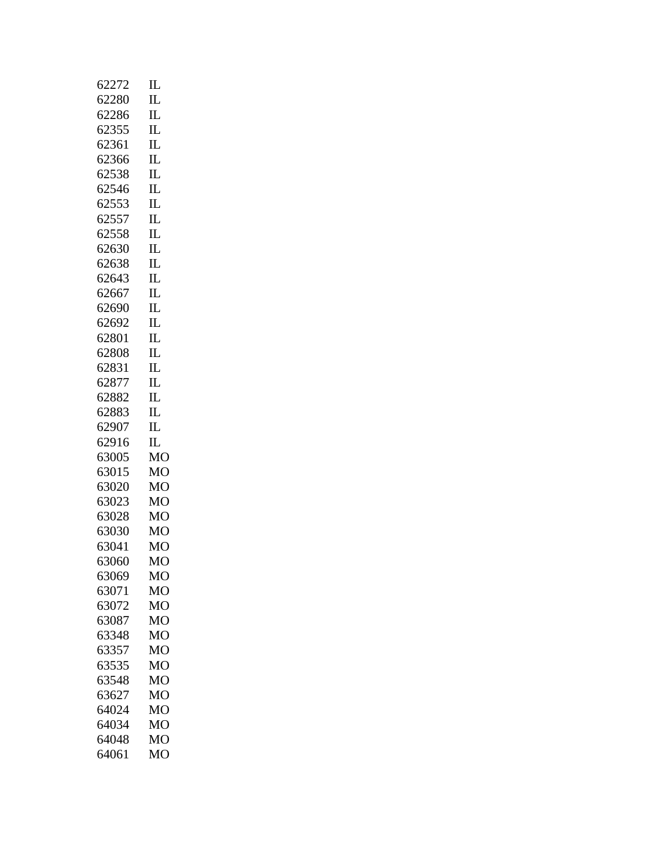| 62272 | $_{\rm IL}$                     |
|-------|---------------------------------|
| 62280 | $_{\rm IL}$                     |
| 62286 | $_{\rm IL}$                     |
| 62355 | $_{\rm IL}$                     |
| 62361 | $_{\rm IL}$                     |
| 62366 | $_{\rm IL}$                     |
| 62538 | $_{\rm IL}$                     |
| 62546 | $_{\rm IL}$                     |
| 62553 | $_{\rm IL}$                     |
| 62557 | $_{\rm IL}$                     |
| 62558 | $_{\rm IL}$                     |
| 62630 | $_{\rm IL}$                     |
| 62638 | $_{\rm IL}$                     |
| 62643 | $_{\rm IL}$                     |
| 62667 | $\mathop{\mathrm{IL}}\nolimits$ |
| 62690 | IL                              |
| 62692 | $_{\rm IL}$                     |
| 62801 | $_{\rm IL}$                     |
| 62808 | $_{\rm IL}$                     |
| 62831 | $_{\rm IL}$                     |
| 62877 | $\mathbf{I}$                    |
| 62882 | $_{\rm IL}$                     |
| 62883 | $_{\rm IL}$                     |
| 62907 | IL                              |
| 62916 | $_{\rm IL}$                     |
| 63005 | MO                              |
| 63015 | MO                              |
| 63020 | МO                              |
| 63023 | MO                              |
| 63028 | MO                              |
| 63030 | МO                              |
| 63041 | MO                              |
| 63060 | MO                              |
| 63069 | МO                              |
| 63071 | MO                              |
| 63072 | M <sub>O</sub>                  |
| 63087 | MO                              |
| 63348 | МO                              |
| 63357 | M <sub>O</sub>                  |
| 63535 | MO                              |
| 63548 | МO                              |
| 63627 | MO                              |
| 64024 | MO                              |
| 64034 | MO                              |
| 64048 | МO                              |
| 64061 | MO                              |
|       |                                 |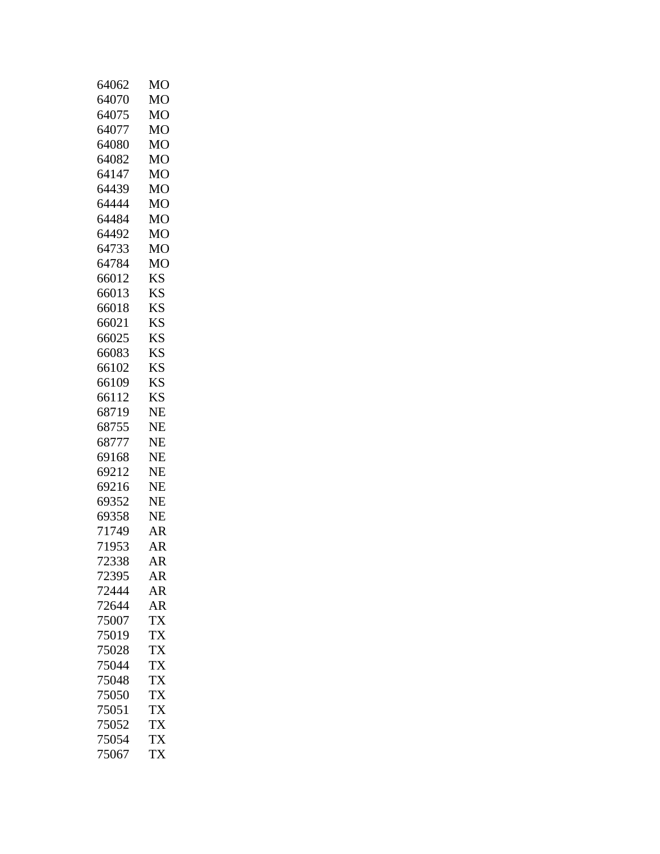| 64062 | MO             |
|-------|----------------|
| 64070 | M <sub>O</sub> |
| 64075 | MO             |
| 64077 | MO             |
| 64080 | MO             |
| 64082 | M <sub>O</sub> |
| 64147 | M <sub>O</sub> |
| 64439 | MO             |
| 64444 | MO             |
| 64484 | MO             |
| 64492 | M <sub>O</sub> |
| 64733 | M <sub>O</sub> |
| 64784 | MO             |
| 66012 | KS             |
| 66013 | <b>KS</b>      |
| 66018 | <b>KS</b>      |
| 66021 | <b>KS</b>      |
| 66025 | <b>KS</b>      |
| 66083 | <b>KS</b>      |
| 66102 | KS             |
| 66109 | KS             |
| 66112 | <b>KS</b>      |
| 68719 | <b>NE</b>      |
| 68755 | <b>NE</b>      |
| 68777 | NE             |
| 69168 | <b>NE</b>      |
| 69212 | NE             |
| 69216 | NE             |
| 69352 | NE             |
| 69358 | <b>NE</b>      |
| 71749 | AR             |
| 71953 | AR             |
| 72338 | AR             |
| 72395 | AR             |
| 72444 | <b>AR</b>      |
| 72644 | AR             |
| 75007 | <b>TX</b>      |
| 75019 | TX             |
| 75028 | TX             |
| 75044 | TX             |
| 75048 | <b>TX</b>      |
| 75050 | <b>TX</b>      |
| 75051 | <b>TX</b>      |
| 75052 | <b>TX</b>      |
| 75054 | TX             |
| 75067 | <b>TX</b>      |
|       |                |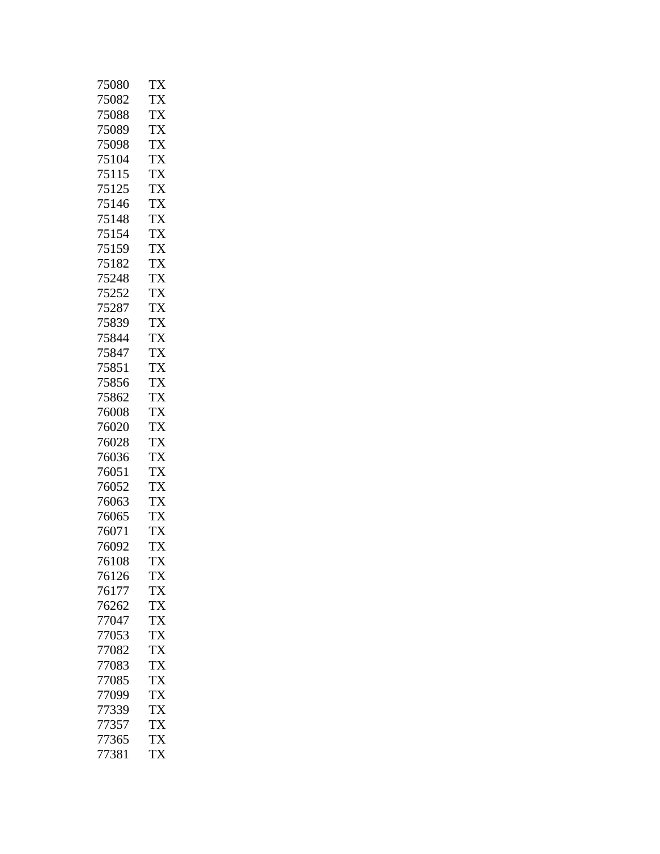| 75082<br>TX<br>75088<br>TX<br>75089<br><b>TX</b><br>75098<br>TX<br><b>TX</b><br>75104<br><b>TX</b><br>75115<br>75125<br>TX<br>75146<br><b>TX</b><br><b>TX</b><br>75148<br>75154<br>TX<br>75159<br><b>TX</b><br>TX<br>75182<br>75248<br>TX<br>75252<br>TX<br><b>TX</b><br>75287<br><b>TX</b><br>75839<br>75844<br>TX<br>75847<br><b>TX</b><br><b>TX</b><br>75851<br>75856<br>TX<br><b>TX</b><br>75862<br><b>TX</b><br>76008<br><b>TX</b><br>76020<br><b>TX</b><br>76028<br><b>TX</b><br>76036<br><b>TX</b><br>76051<br>76052<br>TX<br>TX<br>76063<br><b>TX</b><br>76065<br>76071<br>TX<br><b>TX</b><br>76092<br>TX<br>76108<br>76126<br>TX<br>76177<br>TX<br>TX<br>76262<br><b>TX</b><br>77047<br>77053<br>TX<br>77082<br>TX<br><b>TX</b><br>77083<br>77085<br>TX<br><b>TX</b><br>77099<br><b>TX</b><br>77339<br><b>TX</b><br>77357<br>TX<br>77365<br><b>TX</b><br>77381 | 75080 | TX |
|-------------------------------------------------------------------------------------------------------------------------------------------------------------------------------------------------------------------------------------------------------------------------------------------------------------------------------------------------------------------------------------------------------------------------------------------------------------------------------------------------------------------------------------------------------------------------------------------------------------------------------------------------------------------------------------------------------------------------------------------------------------------------------------------------------------------------------------------------------------------------|-------|----|
|                                                                                                                                                                                                                                                                                                                                                                                                                                                                                                                                                                                                                                                                                                                                                                                                                                                                         |       |    |
|                                                                                                                                                                                                                                                                                                                                                                                                                                                                                                                                                                                                                                                                                                                                                                                                                                                                         |       |    |
|                                                                                                                                                                                                                                                                                                                                                                                                                                                                                                                                                                                                                                                                                                                                                                                                                                                                         |       |    |
|                                                                                                                                                                                                                                                                                                                                                                                                                                                                                                                                                                                                                                                                                                                                                                                                                                                                         |       |    |
|                                                                                                                                                                                                                                                                                                                                                                                                                                                                                                                                                                                                                                                                                                                                                                                                                                                                         |       |    |
|                                                                                                                                                                                                                                                                                                                                                                                                                                                                                                                                                                                                                                                                                                                                                                                                                                                                         |       |    |
|                                                                                                                                                                                                                                                                                                                                                                                                                                                                                                                                                                                                                                                                                                                                                                                                                                                                         |       |    |
|                                                                                                                                                                                                                                                                                                                                                                                                                                                                                                                                                                                                                                                                                                                                                                                                                                                                         |       |    |
|                                                                                                                                                                                                                                                                                                                                                                                                                                                                                                                                                                                                                                                                                                                                                                                                                                                                         |       |    |
|                                                                                                                                                                                                                                                                                                                                                                                                                                                                                                                                                                                                                                                                                                                                                                                                                                                                         |       |    |
|                                                                                                                                                                                                                                                                                                                                                                                                                                                                                                                                                                                                                                                                                                                                                                                                                                                                         |       |    |
|                                                                                                                                                                                                                                                                                                                                                                                                                                                                                                                                                                                                                                                                                                                                                                                                                                                                         |       |    |
|                                                                                                                                                                                                                                                                                                                                                                                                                                                                                                                                                                                                                                                                                                                                                                                                                                                                         |       |    |
|                                                                                                                                                                                                                                                                                                                                                                                                                                                                                                                                                                                                                                                                                                                                                                                                                                                                         |       |    |
|                                                                                                                                                                                                                                                                                                                                                                                                                                                                                                                                                                                                                                                                                                                                                                                                                                                                         |       |    |
|                                                                                                                                                                                                                                                                                                                                                                                                                                                                                                                                                                                                                                                                                                                                                                                                                                                                         |       |    |
|                                                                                                                                                                                                                                                                                                                                                                                                                                                                                                                                                                                                                                                                                                                                                                                                                                                                         |       |    |
|                                                                                                                                                                                                                                                                                                                                                                                                                                                                                                                                                                                                                                                                                                                                                                                                                                                                         |       |    |
|                                                                                                                                                                                                                                                                                                                                                                                                                                                                                                                                                                                                                                                                                                                                                                                                                                                                         |       |    |
|                                                                                                                                                                                                                                                                                                                                                                                                                                                                                                                                                                                                                                                                                                                                                                                                                                                                         |       |    |
|                                                                                                                                                                                                                                                                                                                                                                                                                                                                                                                                                                                                                                                                                                                                                                                                                                                                         |       |    |
|                                                                                                                                                                                                                                                                                                                                                                                                                                                                                                                                                                                                                                                                                                                                                                                                                                                                         |       |    |
|                                                                                                                                                                                                                                                                                                                                                                                                                                                                                                                                                                                                                                                                                                                                                                                                                                                                         |       |    |
|                                                                                                                                                                                                                                                                                                                                                                                                                                                                                                                                                                                                                                                                                                                                                                                                                                                                         |       |    |
|                                                                                                                                                                                                                                                                                                                                                                                                                                                                                                                                                                                                                                                                                                                                                                                                                                                                         |       |    |
|                                                                                                                                                                                                                                                                                                                                                                                                                                                                                                                                                                                                                                                                                                                                                                                                                                                                         |       |    |
|                                                                                                                                                                                                                                                                                                                                                                                                                                                                                                                                                                                                                                                                                                                                                                                                                                                                         |       |    |
|                                                                                                                                                                                                                                                                                                                                                                                                                                                                                                                                                                                                                                                                                                                                                                                                                                                                         |       |    |
|                                                                                                                                                                                                                                                                                                                                                                                                                                                                                                                                                                                                                                                                                                                                                                                                                                                                         |       |    |
|                                                                                                                                                                                                                                                                                                                                                                                                                                                                                                                                                                                                                                                                                                                                                                                                                                                                         |       |    |
|                                                                                                                                                                                                                                                                                                                                                                                                                                                                                                                                                                                                                                                                                                                                                                                                                                                                         |       |    |
|                                                                                                                                                                                                                                                                                                                                                                                                                                                                                                                                                                                                                                                                                                                                                                                                                                                                         |       |    |
|                                                                                                                                                                                                                                                                                                                                                                                                                                                                                                                                                                                                                                                                                                                                                                                                                                                                         |       |    |
|                                                                                                                                                                                                                                                                                                                                                                                                                                                                                                                                                                                                                                                                                                                                                                                                                                                                         |       |    |
|                                                                                                                                                                                                                                                                                                                                                                                                                                                                                                                                                                                                                                                                                                                                                                                                                                                                         |       |    |
|                                                                                                                                                                                                                                                                                                                                                                                                                                                                                                                                                                                                                                                                                                                                                                                                                                                                         |       |    |
|                                                                                                                                                                                                                                                                                                                                                                                                                                                                                                                                                                                                                                                                                                                                                                                                                                                                         |       |    |
|                                                                                                                                                                                                                                                                                                                                                                                                                                                                                                                                                                                                                                                                                                                                                                                                                                                                         |       |    |
|                                                                                                                                                                                                                                                                                                                                                                                                                                                                                                                                                                                                                                                                                                                                                                                                                                                                         |       |    |
|                                                                                                                                                                                                                                                                                                                                                                                                                                                                                                                                                                                                                                                                                                                                                                                                                                                                         |       |    |
|                                                                                                                                                                                                                                                                                                                                                                                                                                                                                                                                                                                                                                                                                                                                                                                                                                                                         |       |    |
|                                                                                                                                                                                                                                                                                                                                                                                                                                                                                                                                                                                                                                                                                                                                                                                                                                                                         |       |    |
|                                                                                                                                                                                                                                                                                                                                                                                                                                                                                                                                                                                                                                                                                                                                                                                                                                                                         |       |    |
|                                                                                                                                                                                                                                                                                                                                                                                                                                                                                                                                                                                                                                                                                                                                                                                                                                                                         |       |    |
|                                                                                                                                                                                                                                                                                                                                                                                                                                                                                                                                                                                                                                                                                                                                                                                                                                                                         |       |    |
|                                                                                                                                                                                                                                                                                                                                                                                                                                                                                                                                                                                                                                                                                                                                                                                                                                                                         |       |    |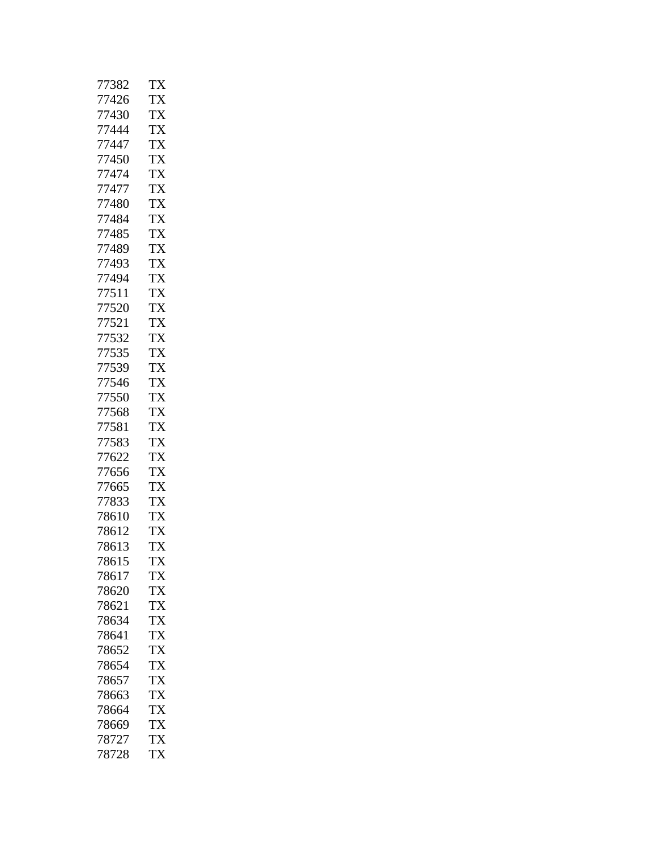| 77382 | TX        |
|-------|-----------|
| 77426 | TX        |
| 77430 | TX        |
| 77444 | TX        |
| 77447 | TX        |
| 77450 | <b>TX</b> |
| 77474 | TX        |
| 77477 | TX        |
| 77480 | TX        |
| 77484 | TX        |
| 77485 | TX        |
| 77489 | <b>TX</b> |
| 77493 | <b>TX</b> |
| 77494 | TX        |
| 77511 | TX        |
| 77520 | <b>TX</b> |
| 77521 | <b>TX</b> |
| 77532 | <b>TX</b> |
| 77535 | <b>TX</b> |
| 77539 | TX        |
| 77546 | TX        |
| 77550 | <b>TX</b> |
| 77568 | <b>TX</b> |
| 77581 | TX        |
| 77583 | <b>TX</b> |
| 77622 | <b>TX</b> |
| 77656 | TX        |
| 77665 | TX        |
| 77833 | TX        |
| 78610 | TX        |
| 78612 | TX        |
| 78613 | <b>TX</b> |
| 78615 | TX        |
| 78617 | TX        |
| 78620 | TX        |
| 78621 | <b>TX</b> |
| 78634 | <b>TX</b> |
| 78641 | TX        |
| 78652 | <b>TX</b> |
| 78654 | <b>TX</b> |
| 78657 | <b>TX</b> |
| 78663 | <b>TX</b> |
| 78664 | <b>TX</b> |
| 78669 | TX        |
| 78727 | <b>TX</b> |
| 78728 | <b>TX</b> |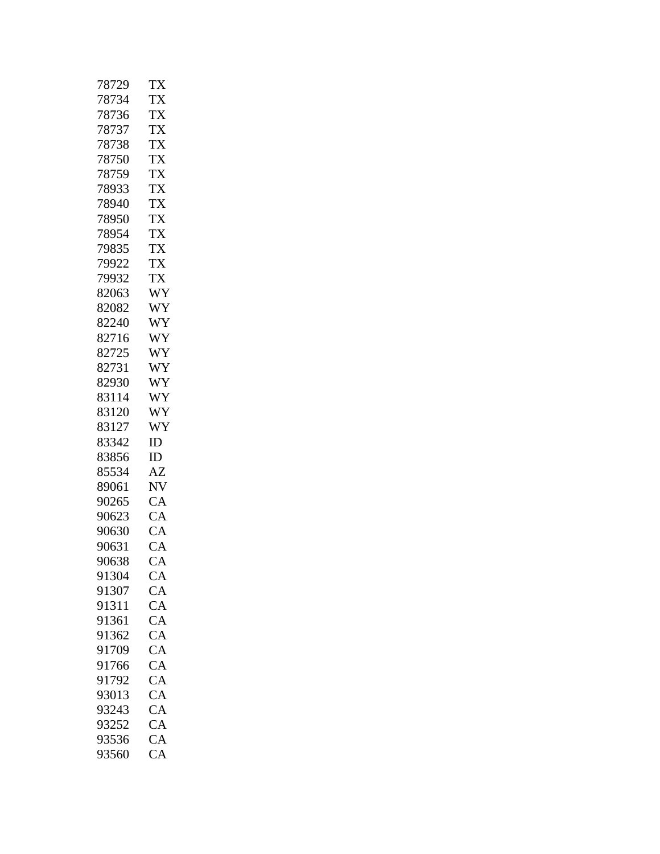| 78729 | TX        |
|-------|-----------|
| 78734 | TX        |
| 78736 | <b>TX</b> |
| 78737 | TX        |
| 78738 | TX        |
| 78750 | <b>TX</b> |
| 78759 | TX        |
| 78933 | TX        |
| 78940 | <b>TX</b> |
| 78950 | <b>TX</b> |
| 78954 | <b>TX</b> |
| 79835 | <b>TX</b> |
| 79922 | TX        |
| 79932 | TX        |
| 82063 | WY        |
| 82082 | WY        |
| 82240 | WY        |
| 82716 | WY        |
| 82725 | WY        |
| 82731 | WY        |
| 82930 | WY        |
| 83114 | WY        |
| 83120 | WY        |
| 83127 | WY        |
| 83342 | ID        |
| 83856 | ID        |
| 85534 | AZ        |
| 89061 | NV        |
| 90265 | CA        |
| 90623 | CA        |
| 90630 | CA        |
| 90631 | CA        |
| 90638 | CA        |
| 91304 | СA        |
| 91307 | CA        |
| 91311 | CA        |
| 91361 | CA        |
| 91362 | CA        |
| 91709 | CA        |
| 91766 | CA        |
| 91792 | CA        |
| 93013 | CA        |
| 93243 | CA        |
| 93252 | CA        |
| 93536 | CA        |
| 93560 | <b>CA</b> |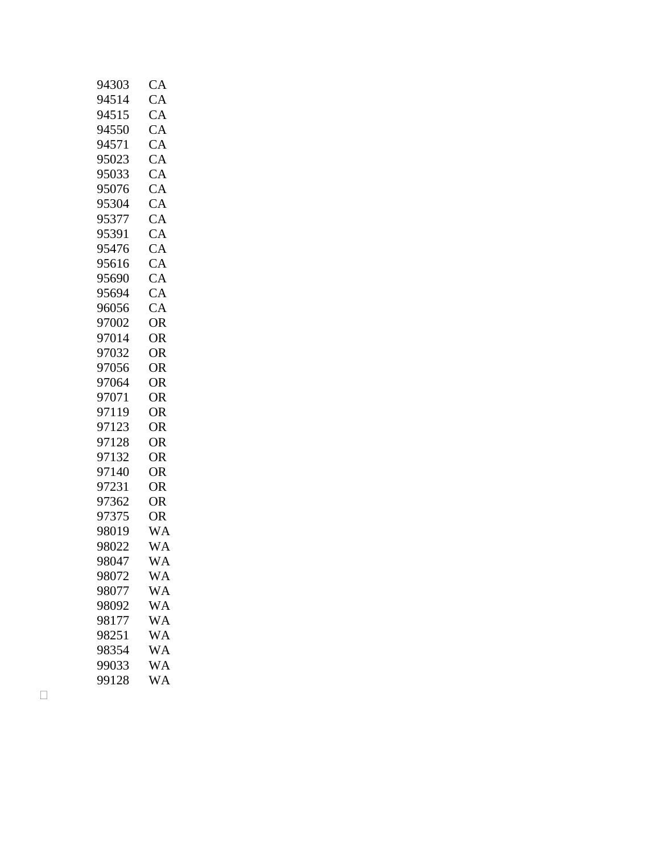| 94303          | CA              |
|----------------|-----------------|
| 94514          | CA              |
| 94515          | CA              |
| 94550          | CA              |
| 94571          | CA              |
| 95023          | CA              |
| 95033          | CA              |
| 95076          | CA              |
| 95304          | CA              |
| 95377          | CA              |
| 95391          | CA              |
| 95476          | CA              |
| 95616          | CA              |
| 95690          | CA              |
| 95694          | CA              |
| 96056          | CA              |
| 97002          | <b>OR</b>       |
| 97014          | <b>OR</b>       |
| 97032          | <b>OR</b>       |
| 97056          | <b>OR</b>       |
| 97064          | <b>OR</b>       |
| 97071          | <b>OR</b>       |
| 97119          | <b>OR</b>       |
| 97123          | OR              |
| 97128          | <b>OR</b>       |
| 97132          | <b>OR</b>       |
| 97140          | <b>OR</b>       |
| 97231          | <b>OR</b>       |
| 97362          | OR              |
| 97375          | <b>OR</b>       |
| 98019          | <b>WA</b>       |
| 98022          | <b>WA</b>       |
| 98047          | WA              |
| 98072          | WA              |
| 98077          | WA<br><b>WA</b> |
| 98092          | <b>WA</b>       |
| 98177<br>98251 | WA              |
| 98354          | WA              |
| 99033          | <b>WA</b>       |
|                | <b>WA</b>       |
| 99128          |                 |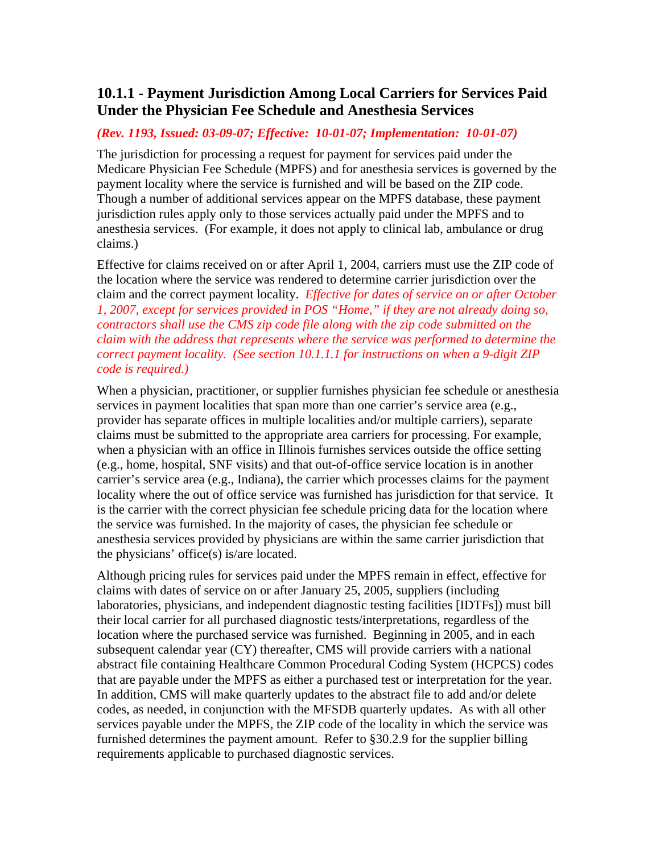# <span id="page-24-0"></span>**10.1.1 - Payment Jurisdiction Among Local Carriers for Services Paid Under the Physician Fee Schedule and Anesthesia Services**

#### *(Rev. 1193, Issued: 03-09-07; Effective: 10-01-07; Implementation: 10-01-07)*

The jurisdiction for processing a request for payment for services paid under the Medicare Physician Fee Schedule (MPFS) and for anesthesia services is governed by the payment locality where the service is furnished and will be based on the ZIP code. Though a number of additional services appear on the MPFS database, these payment jurisdiction rules apply only to those services actually paid under the MPFS and to anesthesia services. (For example, it does not apply to clinical lab, ambulance or drug claims.)

Effective for claims received on or after April 1, 2004, carriers must use the ZIP code of the location where the service was rendered to determine carrier jurisdiction over the claim and the correct payment locality. *Effective for dates of service on or after October 1, 2007, except for services provided in POS "Home," if they are not already doing so, contractors shall use the CMS zip code file along with the zip code submitted on the claim with the address that represents where the service was performed to determine the correct payment locality. (See section 10.1.1.1 for instructions on when a 9-digit ZIP code is required.)* 

When a physician, practitioner, or supplier furnishes physician fee schedule or anesthesia services in payment localities that span more than one carrier's service area (e.g., provider has separate offices in multiple localities and/or multiple carriers), separate claims must be submitted to the appropriate area carriers for processing. For example, when a physician with an office in Illinois furnishes services outside the office setting (e.g., home, hospital, SNF visits) and that out-of-office service location is in another carrier's service area (e.g., Indiana), the carrier which processes claims for the payment locality where the out of office service was furnished has jurisdiction for that service. It is the carrier with the correct physician fee schedule pricing data for the location where the service was furnished. In the majority of cases, the physician fee schedule or anesthesia services provided by physicians are within the same carrier jurisdiction that the physicians' office(s) is/are located.

Although pricing rules for services paid under the MPFS remain in effect, effective for claims with dates of service on or after January 25, 2005, suppliers (including laboratories, physicians, and independent diagnostic testing facilities [IDTFs]) must bill their local carrier for all purchased diagnostic tests/interpretations, regardless of the location where the purchased service was furnished. Beginning in 2005, and in each subsequent calendar year (CY) thereafter, CMS will provide carriers with a national abstract file containing Healthcare Common Procedural Coding System (HCPCS) codes that are payable under the MPFS as either a purchased test or interpretation for the year. In addition, CMS will make quarterly updates to the abstract file to add and/or delete codes, as needed, in conjunction with the MFSDB quarterly updates. As with all other services payable under the MPFS, the ZIP code of the locality in which the service was furnished determines the payment amount. Refer to [§30.2.9](#page-24-0) for the supplier billing requirements applicable to purchased diagnostic services.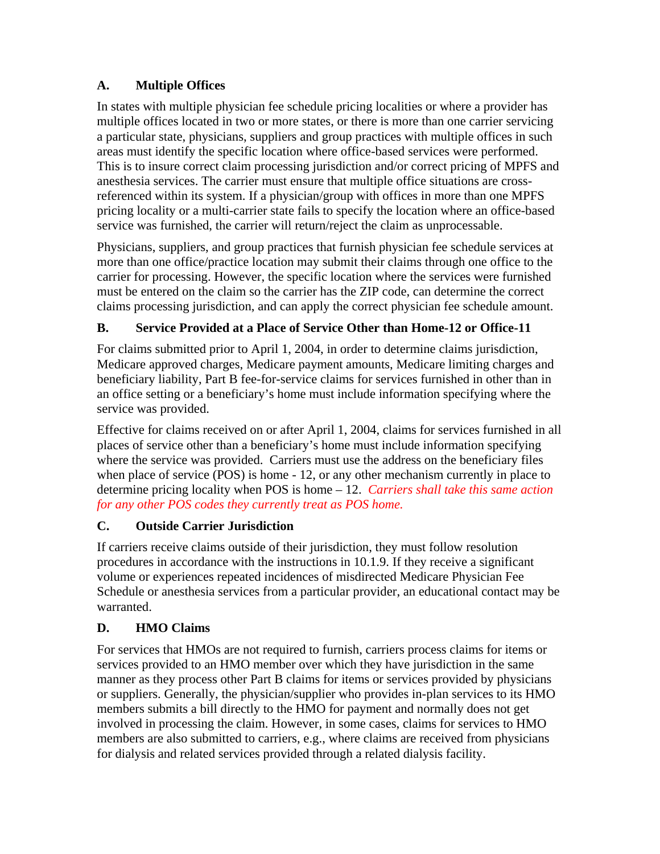## **A. Multiple Offices**

In states with multiple physician fee schedule pricing localities or where a provider has multiple offices located in two or more states, or there is more than one carrier servicing a particular state, physicians, suppliers and group practices with multiple offices in such areas must identify the specific location where office-based services were performed. This is to insure correct claim processing jurisdiction and/or correct pricing of MPFS and anesthesia services. The carrier must ensure that multiple office situations are crossreferenced within its system. If a physician/group with offices in more than one MPFS pricing locality or a multi-carrier state fails to specify the location where an office-based service was furnished, the carrier will return/reject the claim as unprocessable.

Physicians, suppliers, and group practices that furnish physician fee schedule services at more than one office/practice location may submit their claims through one office to the carrier for processing. However, the specific location where the services were furnished must be entered on the claim so the carrier has the ZIP code, can determine the correct claims processing jurisdiction, and can apply the correct physician fee schedule amount.

## **B. Service Provided at a Place of Service Other than Home-12 or Office-11**

For claims submitted prior to April 1, 2004, in order to determine claims jurisdiction, Medicare approved charges, Medicare payment amounts, Medicare limiting charges and beneficiary liability, Part B fee-for-service claims for services furnished in other than in an office setting or a beneficiary's home must include information specifying where the service was provided.

Effective for claims received on or after April 1, 2004, claims for services furnished in all places of service other than a beneficiary's home must include information specifying where the service was provided. Carriers must use the address on the beneficiary files when place of service (POS) is home - 12, or any other mechanism currently in place to determine pricing locality when POS is home – 12. *Carriers shall take this same action for any other POS codes they currently treat as POS home.* 

## **C. Outside Carrier Jurisdiction**

If carriers receive claims outside of their jurisdiction, they must follow resolution procedures in accordance with the instructions in 10.1.9. If they receive a significant volume or experiences repeated incidences of misdirected Medicare Physician Fee Schedule or anesthesia services from a particular provider, an educational contact may be warranted.

## **D. HMO Claims**

For services that HMOs are not required to furnish, carriers process claims for items or services provided to an HMO member over which they have jurisdiction in the same manner as they process other Part B claims for items or services provided by physicians or suppliers. Generally, the physician/supplier who provides in-plan services to its HMO members submits a bill directly to the HMO for payment and normally does not get involved in processing the claim. However, in some cases, claims for services to HMO members are also submitted to carriers, e.g., where claims are received from physicians for dialysis and related services provided through a related dialysis facility.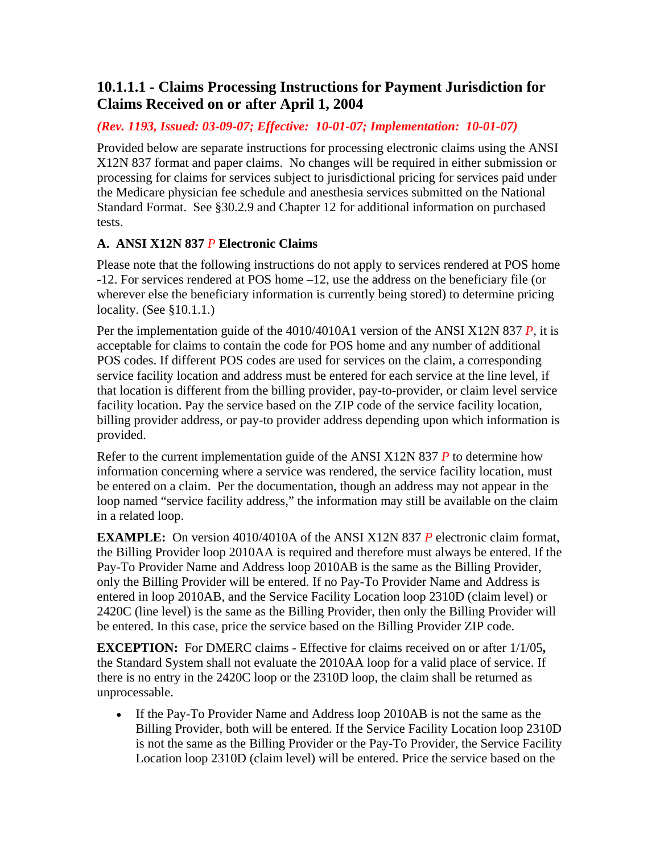# <span id="page-26-0"></span>**10.1.1.1 - Claims Processing Instructions for Payment Jurisdiction for Claims Received on or after April 1, 2004**

### *(Rev. 1193, Issued: 03-09-07; Effective: 10-01-07; Implementation: 10-01-07)*

Provided below are separate instructions for processing electronic claims using the ANSI X12N 837 format and paper claims. No changes will be required in either submission or processing for claims for services subject to jurisdictional pricing for services paid under the Medicare physician fee schedule and anesthesia services submitted on the National Standard Format. See [§30.2.9](#page-24-0) and Chapter 12 for additional information on purchased tests.

## **A. ANSI X12N 837** *P* **Electronic Claims**

Please note that the following instructions do not apply to services rendered at POS home -12. For services rendered at POS home –12, use the address on the beneficiary file (or wherever else the beneficiary information is currently being stored) to determine pricing locality. (See [§10.1.1](#page-24-0).)

Per the implementation guide of the 4010/4010A1 version of the ANSI X12N 837 *P*, it is acceptable for claims to contain the code for POS home and any number of additional POS codes. If different POS codes are used for services on the claim, a corresponding service facility location and address must be entered for each service at the line level, if that location is different from the billing provider, pay-to-provider, or claim level service facility location. Pay the service based on the ZIP code of the service facility location, billing provider address, or pay-to provider address depending upon which information is provided.

Refer to the current implementation guide of the ANSI X12N 837 *P* to determine how information concerning where a service was rendered, the service facility location, must be entered on a claim. Per the documentation, though an address may not appear in the loop named "service facility address," the information may still be available on the claim in a related loop.

**EXAMPLE:** On version 4010/4010A of the ANSI X12N 837 *P* electronic claim format, the Billing Provider loop 2010AA is required and therefore must always be entered. If the Pay-To Provider Name and Address loop 2010AB is the same as the Billing Provider, only the Billing Provider will be entered. If no Pay-To Provider Name and Address is entered in loop 2010AB, and the Service Facility Location loop 2310D (claim level) or 2420C (line level) is the same as the Billing Provider, then only the Billing Provider will be entered. In this case, price the service based on the Billing Provider ZIP code.

**EXCEPTION:** For DMERC claims - Effective for claims received on or after 1/1/05**,** the Standard System shall not evaluate the 2010AA loop for a valid place of service. If there is no entry in the 2420C loop or the 2310D loop, the claim shall be returned as unprocessable.

• If the Pay-To Provider Name and Address loop 2010AB is not the same as the Billing Provider, both will be entered. If the Service Facility Location loop 2310D is not the same as the Billing Provider or the Pay-To Provider, the Service Facility Location loop 2310D (claim level) will be entered. Price the service based on the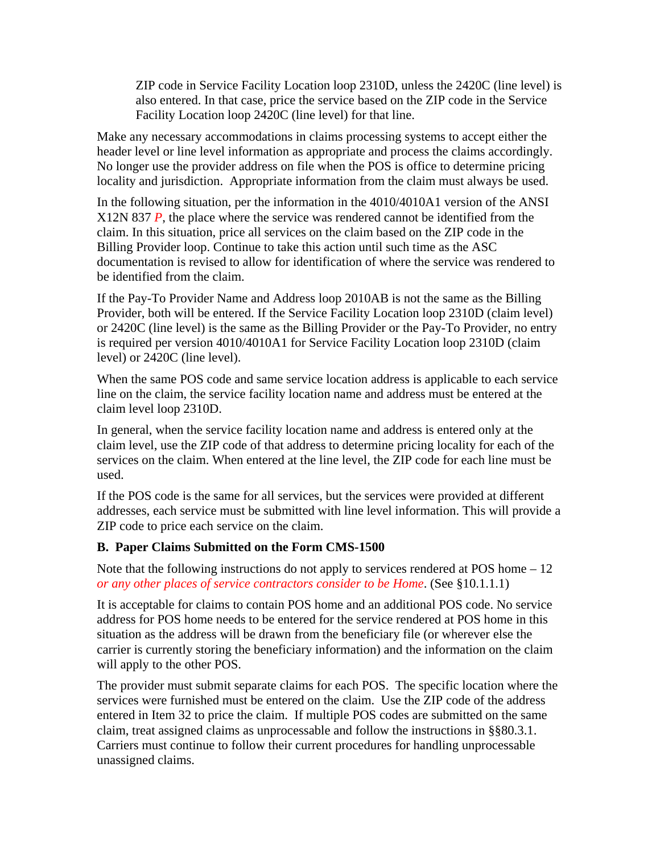ZIP code in Service Facility Location loop 2310D, unless the 2420C (line level) is also entered. In that case, price the service based on the ZIP code in the Service Facility Location loop 2420C (line level) for that line.

Make any necessary accommodations in claims processing systems to accept either the header level or line level information as appropriate and process the claims accordingly. No longer use the provider address on file when the POS is office to determine pricing locality and jurisdiction. Appropriate information from the claim must always be used.

In the following situation, per the information in the 4010/4010A1 version of the ANSI X12N 837 *P*, the place where the service was rendered cannot be identified from the claim. In this situation, price all services on the claim based on the ZIP code in the Billing Provider loop. Continue to take this action until such time as the ASC documentation is revised to allow for identification of where the service was rendered to be identified from the claim.

If the Pay-To Provider Name and Address loop 2010AB is not the same as the Billing Provider, both will be entered. If the Service Facility Location loop 2310D (claim level) or 2420C (line level) is the same as the Billing Provider or the Pay-To Provider, no entry is required per version 4010/4010A1 for Service Facility Location loop 2310D (claim level) or 2420C (line level).

When the same POS code and same service location address is applicable to each service line on the claim, the service facility location name and address must be entered at the claim level loop 2310D.

In general, when the service facility location name and address is entered only at the claim level, use the ZIP code of that address to determine pricing locality for each of the services on the claim. When entered at the line level, the ZIP code for each line must be used.

If the POS code is the same for all services, but the services were provided at different addresses, each service must be submitted with line level information. This will provide a ZIP code to price each service on the claim.

#### **B. Paper Claims Submitted on the Form CMS-1500**

Note that the following instructions do not apply to services rendered at POS home – 12 *or any other places of service contractors consider to be Home*. (See [§10.1.1.1\)](#page-26-0)

It is acceptable for claims to contain POS home and an additional POS code. No service address for POS home needs to be entered for the service rendered at POS home in this situation as the address will be drawn from the beneficiary file (or wherever else the carrier is currently storing the beneficiary information) and the information on the claim will apply to the other POS.

The provider must submit separate claims for each POS. The specific location where the services were furnished must be entered on the claim. Use the ZIP code of the address entered in Item 32 to price the claim. If multiple POS codes are submitted on the same claim, treat assigned claims as unprocessable and follow the instructions in [§§80.3.1](#page-24-0). Carriers must continue to follow their current procedures for handling unprocessable unassigned claims.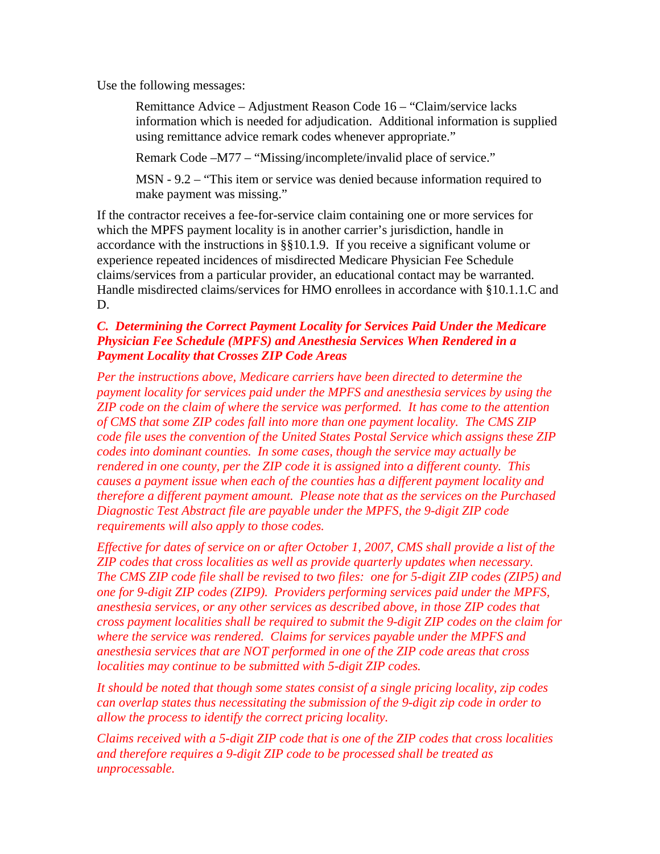Use the following messages:

Remittance Advice – Adjustment Reason Code 16 – "Claim/service lacks information which is needed for adjudication. Additional information is supplied using remittance advice remark codes whenever appropriate."

Remark Code –M77 – "Missing/incomplete/invalid place of service."

MSN - 9.2 – "This item or service was denied because information required to make payment was missing."

If the contractor receives a fee-for-service claim containing one or more services for which the MPFS payment locality is in another carrier's jurisdiction, handle in accordance with the instructions in [§§10.1.9](#page-24-0). If you receive a significant volume or experience repeated incidences of misdirected Medicare Physician Fee Schedule claims/services from a particular provider, an educational contact may be warranted. Handle misdirected claims/services for HMO enrollees in accordance with [§10.1.1.C and](#page-24-0)  [D.](#page-24-0)

#### *C. Determining the Correct Payment Locality for Services Paid Under the Medicare Physician Fee Schedule (MPFS) and Anesthesia Services When Rendered in a Payment Locality that Crosses ZIP Code Areas*

*Per the instructions above, Medicare carriers have been directed to determine the payment locality for services paid under the MPFS and anesthesia services by using the ZIP code on the claim of where the service was performed. It has come to the attention of CMS that some ZIP codes fall into more than one payment locality. The CMS ZIP code file uses the convention of the United States Postal Service which assigns these ZIP codes into dominant counties. In some cases, though the service may actually be rendered in one county, per the ZIP code it is assigned into a different county. This causes a payment issue when each of the counties has a different payment locality and therefore a different payment amount. Please note that as the services on the Purchased Diagnostic Test Abstract file are payable under the MPFS, the 9-digit ZIP code requirements will also apply to those codes.* 

*Effective for dates of service on or after October 1, 2007, CMS shall provide a list of the ZIP codes that cross localities as well as provide quarterly updates when necessary. The CMS ZIP code file shall be revised to two files: one for 5-digit ZIP codes (ZIP5) and one for 9-digit ZIP codes (ZIP9). Providers performing services paid under the MPFS, anesthesia services, or any other services as described above, in those ZIP codes that cross payment localities shall be required to submit the 9-digit ZIP codes on the claim for where the service was rendered. Claims for services payable under the MPFS and anesthesia services that are NOT performed in one of the ZIP code areas that cross localities may continue to be submitted with 5-digit ZIP codes.* 

*It should be noted that though some states consist of a single pricing locality, zip codes can overlap states thus necessitating the submission of the 9-digit zip code in order to allow the process to identify the correct pricing locality.* 

*Claims received with a 5-digit ZIP code that is one of the ZIP codes that cross localities and therefore requires a 9-digit ZIP code to be processed shall be treated as unprocessable.*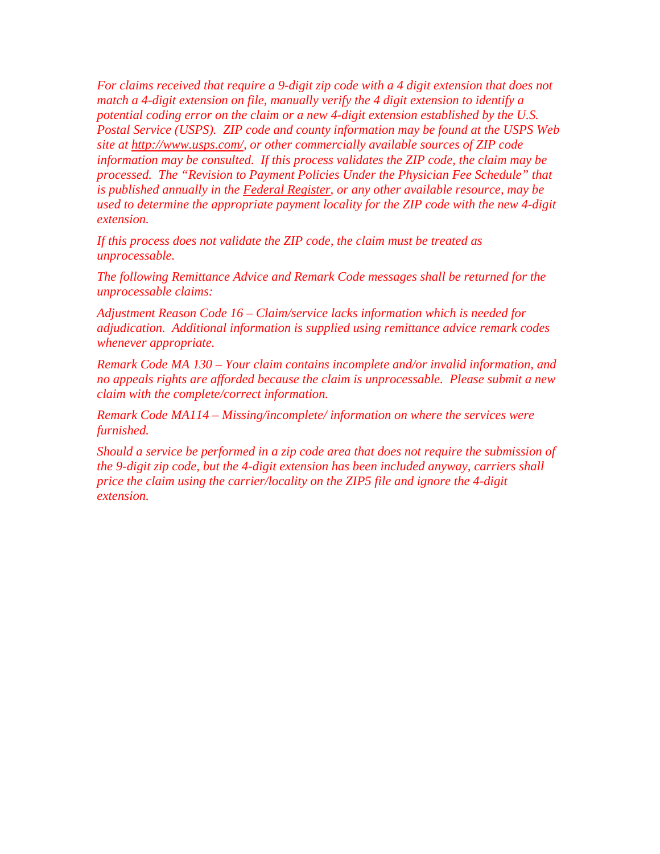*For claims received that require a 9-digit zip code with a 4 digit extension that does not match a 4-digit extension on file, manually verify the 4 digit extension to identify a potential coding error on the claim or a new 4-digit extension established by the U.S. Postal Service (USPS). ZIP code and county information may be found at the USPS Web site at<http://www.usps.com/>, or other commercially available sources of ZIP code information may be consulted. If this process validates the ZIP code, the claim may be processed. The "Revision to Payment Policies Under the Physician Fee Schedule" that is published annually in the Federal Register, or any other available resource, may be used to determine the appropriate payment locality for the ZIP code with the new 4-digit extension.* 

*If this process does not validate the ZIP code, the claim must be treated as unprocessable.* 

*The following Remittance Advice and Remark Code messages shall be returned for the unprocessable claims:* 

*Adjustment Reason Code 16 – Claim/service lacks information which is needed for adjudication. Additional information is supplied using remittance advice remark codes whenever appropriate.* 

*Remark Code MA 130 – Your claim contains incomplete and/or invalid information, and no appeals rights are afforded because the claim is unprocessable. Please submit a new claim with the complete/correct information.* 

*Remark Code MA114 – Missing/incomplete/ information on where the services were furnished.* 

*Should a service be performed in a zip code area that does not require the submission of the 9-digit zip code, but the 4-digit extension has been included anyway, carriers shall price the claim using the carrier/locality on the ZIP5 file and ignore the 4-digit extension.*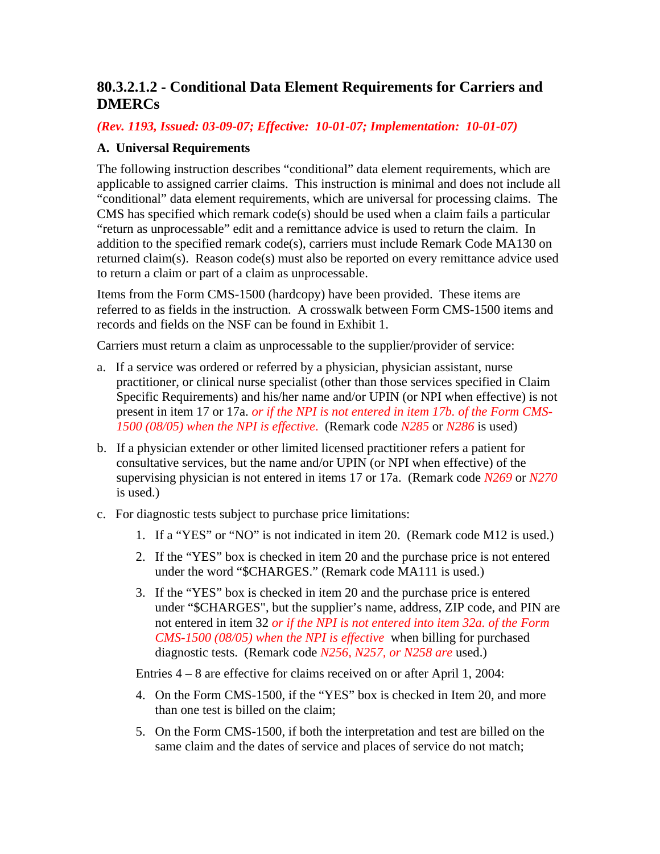# **80.3.2.1.2 - Conditional Data Element Requirements for Carriers and DMERCs**

*(Rev. 1193, Issued: 03-09-07; Effective: 10-01-07; Implementation: 10-01-07)* 

#### **A. Universal Requirements**

The following instruction describes "conditional" data element requirements, which are applicable to assigned carrier claims. This instruction is minimal and does not include all "conditional" data element requirements, which are universal for processing claims. The CMS has specified which remark code(s) should be used when a claim fails a particular "return as unprocessable" edit and a remittance advice is used to return the claim. In addition to the specified remark code(s), carriers must include Remark Code MA130 on returned claim(s). Reason code(s) must also be reported on every remittance advice used to return a claim or part of a claim as unprocessable.

Items from the Form CMS-1500 (hardcopy) have been provided. These items are referred to as fields in the instruction. A crosswalk between Form CMS-1500 items and records and fields on the NSF can be found in Exhibit 1.

Carriers must return a claim as unprocessable to the supplier/provider of service:

- a. If a service was ordered or referred by a physician, physician assistant, nurse practitioner, or clinical nurse specialist (other than those services specified in Claim Specific Requirements) and his/her name and/or UPIN (or NPI when effective) is not present in item 17 or 17a. *or if the NPI is not entered in item 17b. of the Form CMS-1500 (08/05) when the NPI is effective*. (Remark code *N285* or *N286* is used)
- b. If a physician extender or other limited licensed practitioner refers a patient for consultative services, but the name and/or UPIN (or NPI when effective) of the supervising physician is not entered in items 17 or 17a. (Remark code *N269* or *N270* is used.)
- c. For diagnostic tests subject to purchase price limitations:
	- 1. If a "YES" or "NO" is not indicated in item 20. (Remark code M12 is used.)
	- 2. If the "YES" box is checked in item 20 and the purchase price is not entered under the word "\$CHARGES." (Remark code MA111 is used.)
	- 3. If the "YES" box is checked in item 20 and the purchase price is entered under "\$CHARGES", but the supplier's name, address, ZIP code, and PIN are not entered in item 32 *or if the NPI is not entered into item 32a. of the Form CMS-1500 (08/05) when the NPI is effective* when billing for purchased diagnostic tests. (Remark code *N256, N257, or N258 are* used.)

Entries 4 – 8 are effective for claims received on or after April 1, 2004:

- 4. On the Form CMS-1500, if the "YES" box is checked in Item 20, and more than one test is billed on the claim;
- 5. On the Form CMS-1500, if both the interpretation and test are billed on the same claim and the dates of service and places of service do not match;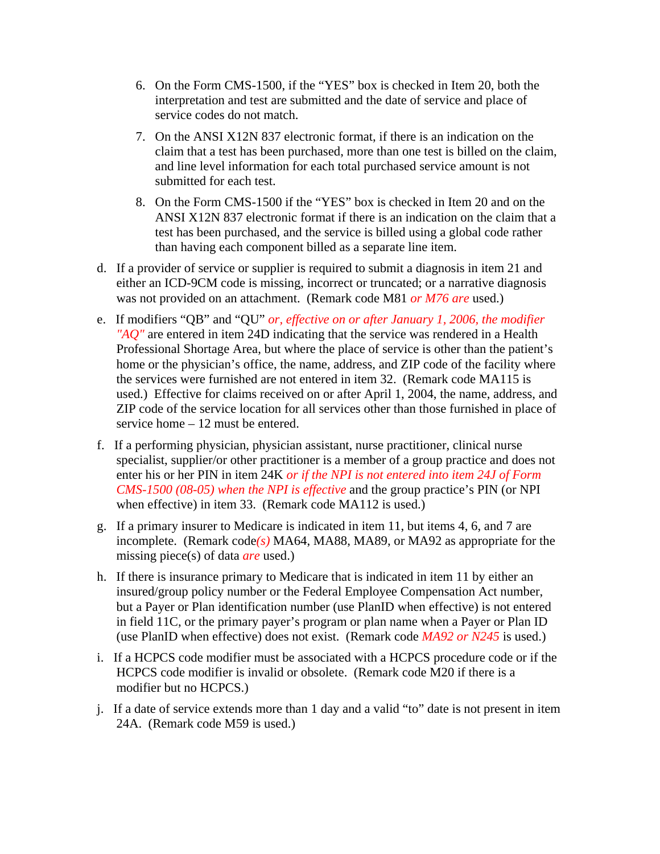- 6. On the Form CMS-1500, if the "YES" box is checked in Item 20, both the interpretation and test are submitted and the date of service and place of service codes do not match.
- 7. On the ANSI X12N 837 electronic format, if there is an indication on the claim that a test has been purchased, more than one test is billed on the claim, and line level information for each total purchased service amount is not submitted for each test.
- 8. On the Form CMS-1500 if the "YES" box is checked in Item 20 and on the ANSI X12N 837 electronic format if there is an indication on the claim that a test has been purchased, and the service is billed using a global code rather than having each component billed as a separate line item.
- d. If a provider of service or supplier is required to submit a diagnosis in item 21 and either an ICD-9CM code is missing, incorrect or truncated; or a narrative diagnosis was not provided on an attachment. (Remark code M81 *or M76 are* used.)
- e. If modifiers "QB" and "QU" *or, effective on or after January 1, 2006, the modifier "AQ"* are entered in item 24D indicating that the service was rendered in a Health Professional Shortage Area, but where the place of service is other than the patient's home or the physician's office, the name, address, and ZIP code of the facility where the services were furnished are not entered in item 32. (Remark code MA115 is used.) Effective for claims received on or after April 1, 2004, the name, address, and ZIP code of the service location for all services other than those furnished in place of service home – 12 must be entered.
- f. If a performing physician, physician assistant, nurse practitioner, clinical nurse specialist, supplier/or other practitioner is a member of a group practice and does not enter his or her PIN in item 24K *or if the NPI is not entered into item 24J of Form CMS-1500 (08-05) when the NPI is effective* and the group practice's PIN (or NPI when effective) in item 33. (Remark code MA112 is used.)
- g. If a primary insurer to Medicare is indicated in item 11, but items 4, 6, and 7 are incomplete. (Remark code*(s)* MA64, MA88, MA89, or MA92 as appropriate for the missing piece(s) of data *are* used.)
- h. If there is insurance primary to Medicare that is indicated in item 11 by either an insured/group policy number or the Federal Employee Compensation Act number, but a Payer or Plan identification number (use PlanID when effective) is not entered in field 11C, or the primary payer's program or plan name when a Payer or Plan ID (use PlanID when effective) does not exist. (Remark code *MA92 or N245* is used.)
- i. If a HCPCS code modifier must be associated with a HCPCS procedure code or if the HCPCS code modifier is invalid or obsolete. (Remark code M20 if there is a modifier but no HCPCS.)
- j. If a date of service extends more than 1 day and a valid "to" date is not present in item 24A. (Remark code M59 is used.)